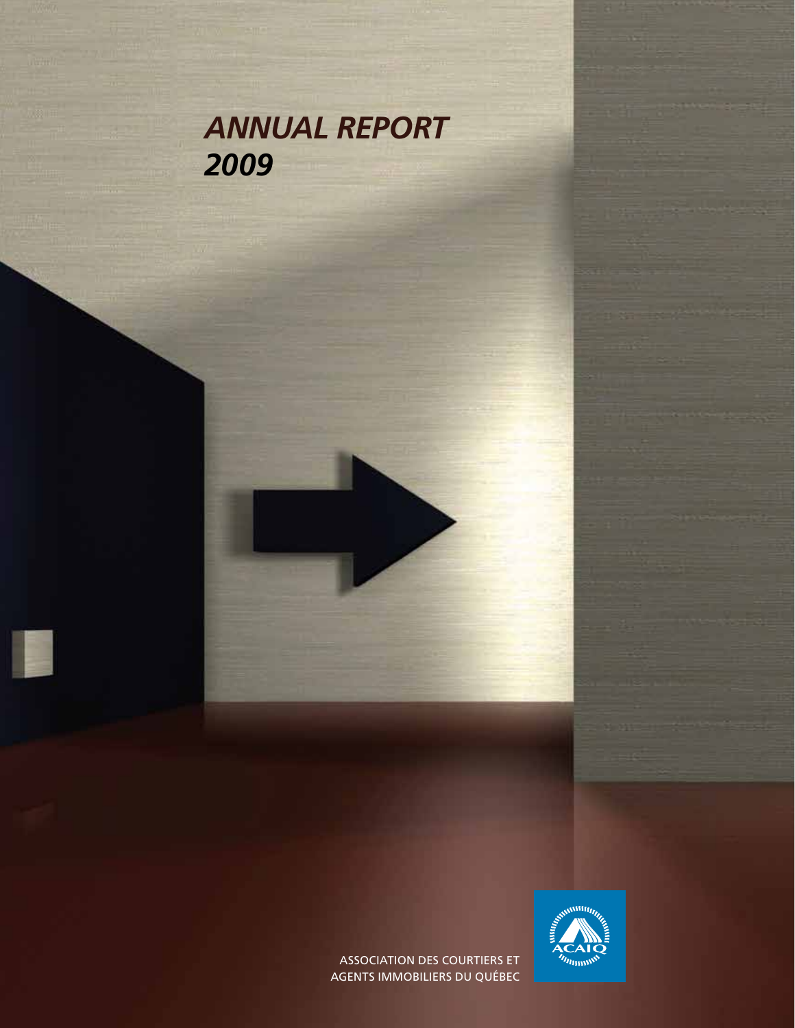# *Annual REport 2009*

ASSOCIATION DES COURTIERS ET AGENTS IMMOBILIERS DU QUÉBEC

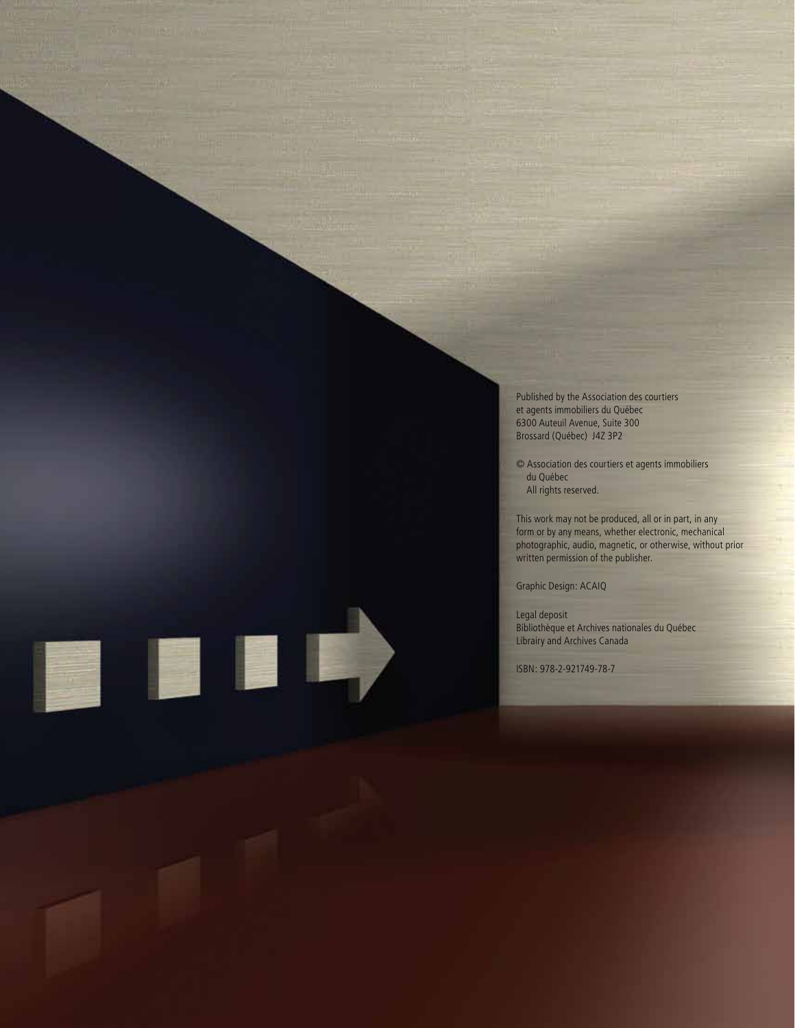Published by the Association des courtiers et agents immobiliers du Québec 6300 Auteuil Avenue, Suite 300 Brossard (Québec) J4Z 3P2

© Association des courtiers et agents immobiliers du Québec All rights reserved.

This work may not be produced, all or in part, in any form or by any means, whether electronic, mechanical photographic, audio, magnetic, or otherwise, without prior written permission of the publisher.

Graphic Design: ACAIQ

Legal deposit Bibliothèque et Archives nationales du Québec Librairy and Archives Canada

ISBN: 978-2-921749-78-7

E

H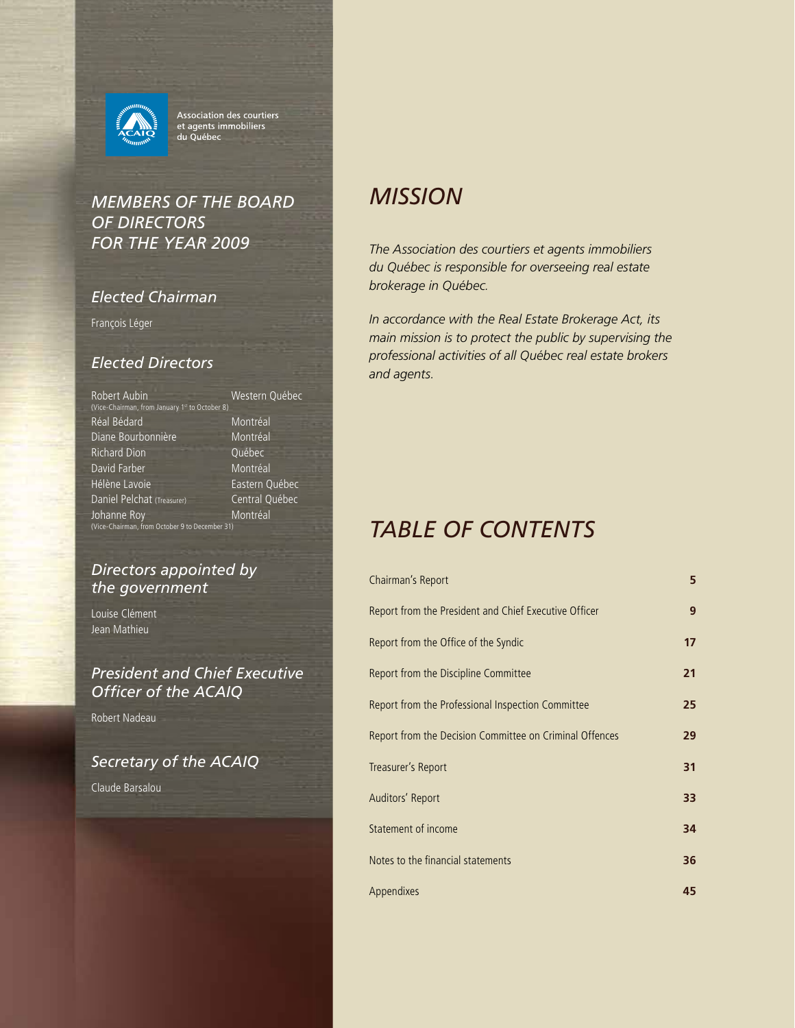

Association des courtiers<br>et agents immobiliers<br>du Québec

*Members of the Board of Directors for the year 2009*

## *Elected Chairman*

François Léger

## *Elected Directors*

| <b>Robert Aubin</b><br>(Vice-Chairman, from January 1st to October 8) | Western Québec |
|-----------------------------------------------------------------------|----------------|
| Réal Bédard                                                           | Montréal       |
| Diane Bourbonnière                                                    | Montréal       |
| <b>Richard Dion</b>                                                   | Ouébec         |
| David Farber                                                          | Montréal       |
| Hélène Lavoie                                                         | Eastern Québec |
| Daniel Pelchat (Treasurer)                                            | Central Québec |
| Johanne Roy<br>(Vice-Chairman, from October 9 to December 31)         | Montréal       |

## *Directors appointed by the government*

Louise Clément Jean Mathieu

## *President and Chief Executive Officer of the ACAIQ*

Robert Nadeau

## *Secretary of the ACAIQ*

Claude Barsalou

# *Mission*

*The Association des courtiers et agents immobiliers du Québec is responsible for overseeing real estate brokerage in Québec.*

*In accordance with the Real Estate Brokerage Act, its main mission is to protect the public by supervising the professional activities of all Québec real estate brokers and agents.*

# *Table of contents*

| Chairman's Report                                       | 5  |
|---------------------------------------------------------|----|
| Report from the President and Chief Executive Officer   | 9  |
| Report from the Office of the Syndic                    | 17 |
| Report from the Discipline Committee                    | 21 |
| Report from the Professional Inspection Committee       | 25 |
| Report from the Decision Committee on Criminal Offences | 29 |
| Treasurer's Report                                      | 31 |
| Auditors' Report                                        | 33 |
| Statement of income                                     | 34 |
| Notes to the financial statements                       | 36 |
| Appendixes                                              | 45 |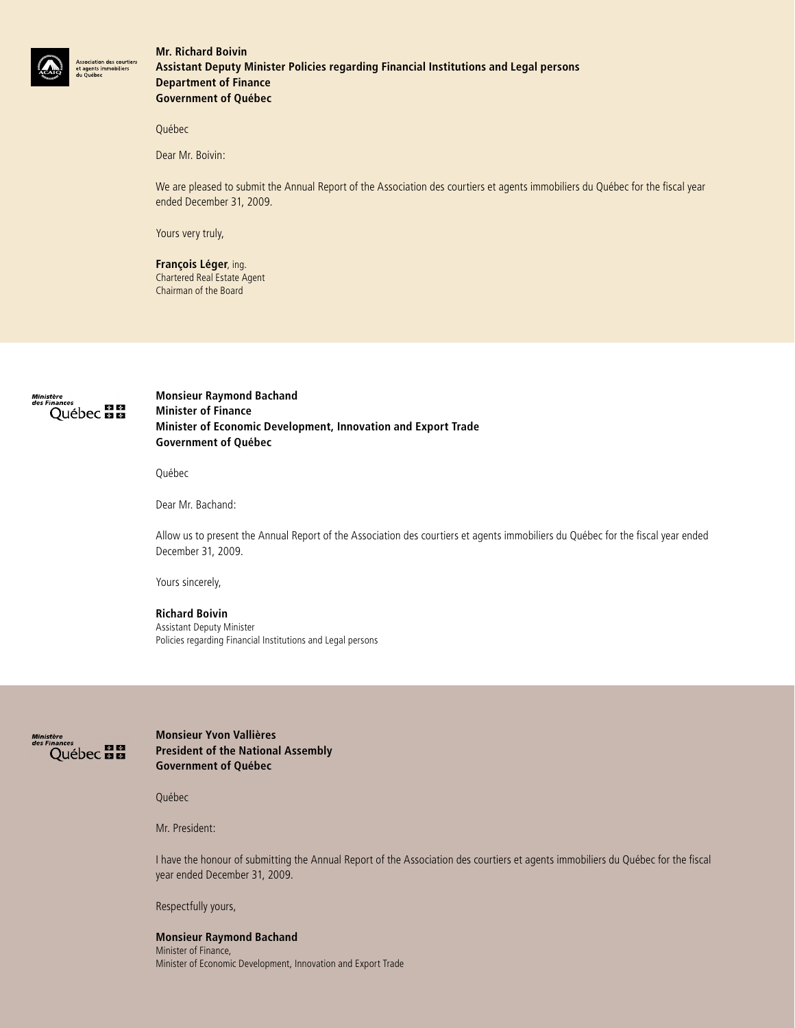

Association des courtiers<br>et agents immobiliers<br>du Québec

#### **Mr. Richard Boivin Assistant Deputy Minister Policies regarding Financial Institutions and Legal persons Department of Finance Government of Québec**

Québec

Dear Mr. Boivin:

We are pleased to submit the Annual Report of the Association des courtiers et agents immobiliers du Québec for the fiscal year ended December 31, 2009.

Yours very truly,

**François Léger**, ing.

Chartered Real Estate Agent Chairman of the Board



**Monsieur Raymond Bachand Minister of Finance Minister of Economic Development, Innovation and Export Trade Government of Québec**

Québec

Dear Mr. Bachand:

Allow us to present the Annual Report of the Association des courtiers et agents immobiliers du Québec for the fiscal year ended December 31, 2009.

Yours sincerely,

#### **Richard Boivin**

Assistant Deputy Minister Policies regarding Financial Institutions and Legal persons



**Monsieur Yvon Vallières President of the National Assembly Government of Québec**

Québec

Mr. President:

I have the honour of submitting the Annual Report of the Association des courtiers et agents immobiliers du Québec for the fiscal year ended December 31, 2009.

Respectfully yours,

**Monsieur Raymond Bachand** Minister of Finance, Minister of Economic Development, Innovation and Export Trade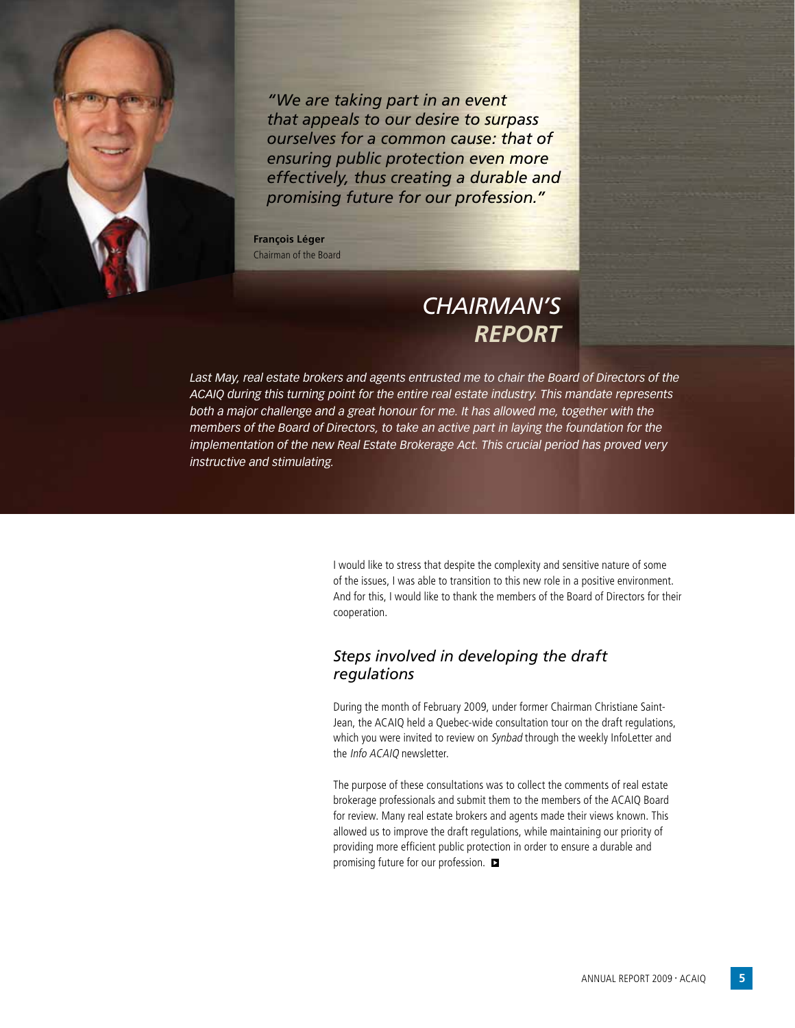*"We are taking part in an event that appeals to our desire to surpass ourselves for a common cause: that of ensuring public protection even more effectively, thus creating a durable and promising future for our profession."* 

**François Léger** Chairman of the Board

# *Chairman's REPORT*

Last May, real estate brokers and agents entrusted me to chair the Board of Directors of the *ACAIQ during this turning point for the entire real estate industry. This mandate represents both a major challenge and a great honour for me. It has allowed me, together with the members of the Board of Directors, to take an active part in laying the foundation for the implementation of the new Real Estate Brokerage Act. This crucial period has proved very instructive and stimulating.*

> I would like to stress that despite the complexity and sensitive nature of some of the issues, I was able to transition to this new role in a positive environment. And for this, I would like to thank the members of the Board of Directors for their cooperation.

## *Steps involved in developing the draft regulations*

During the month of February 2009, under former Chairman Christiane Saint-Jean, the ACAIQ held a Quebec-wide consultation tour on the draft regulations, which you were invited to review on Synbad through the weekly InfoLetter and the Info ACAIQ newsletter.

The purpose of these consultations was to collect the comments of real estate brokerage professionals and submit them to the members of the ACAIQ Board for review. Many real estate brokers and agents made their views known. This allowed us to improve the draft regulations, while maintaining our priority of providing more efficient public protection in order to ensure a durable and promising future for our profession.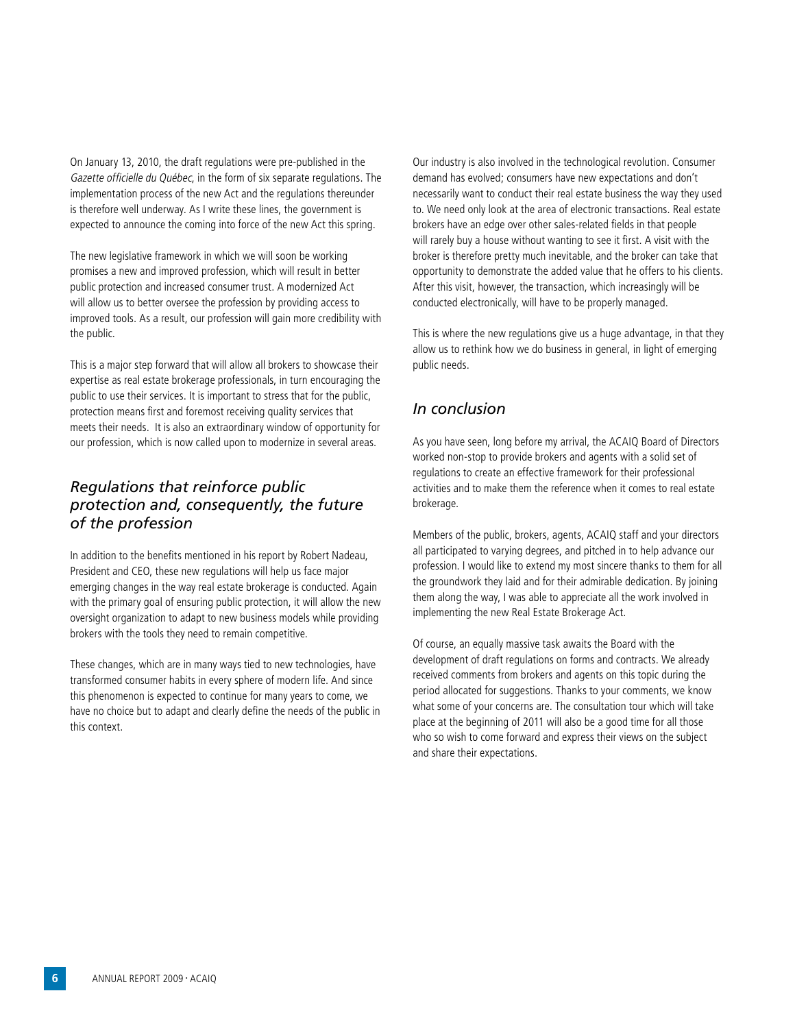On January 13, 2010, the draft regulations were pre-published in the Gazette officielle du Québec, in the form of six separate regulations. The implementation process of the new Act and the regulations thereunder is therefore well underway. As I write these lines, the government is expected to announce the coming into force of the new Act this spring.

The new legislative framework in which we will soon be working promises a new and improved profession, which will result in better public protection and increased consumer trust. A modernized Act will allow us to better oversee the profession by providing access to improved tools. As a result, our profession will gain more credibility with the public.

This is a major step forward that will allow all brokers to showcase their expertise as real estate brokerage professionals, in turn encouraging the public to use their services. It is important to stress that for the public, protection means first and foremost receiving quality services that meets their needs. It is also an extraordinary window of opportunity for our profession, which is now called upon to modernize in several areas.

## *Regulations that reinforce public protection and, consequently, the future of the profession*

In addition to the benefits mentioned in his report by Robert Nadeau, President and CEO, these new regulations will help us face major emerging changes in the way real estate brokerage is conducted. Again with the primary goal of ensuring public protection, it will allow the new oversight organization to adapt to new business models while providing brokers with the tools they need to remain competitive.

These changes, which are in many ways tied to new technologies, have transformed consumer habits in every sphere of modern life. And since this phenomenon is expected to continue for many years to come, we have no choice but to adapt and clearly define the needs of the public in this context.

Our industry is also involved in the technological revolution. Consumer demand has evolved; consumers have new expectations and don't necessarily want to conduct their real estate business the way they used to. We need only look at the area of electronic transactions. Real estate brokers have an edge over other sales-related fields in that people will rarely buy a house without wanting to see it first. A visit with the broker is therefore pretty much inevitable, and the broker can take that opportunity to demonstrate the added value that he offers to his clients. After this visit, however, the transaction, which increasingly will be conducted electronically, will have to be properly managed.

This is where the new regulations give us a huge advantage, in that they allow us to rethink how we do business in general, in light of emerging public needs.

## *In conclusion*

As you have seen, long before my arrival, the ACAIQ Board of Directors worked non-stop to provide brokers and agents with a solid set of regulations to create an effective framework for their professional activities and to make them the reference when it comes to real estate brokerage.

Members of the public, brokers, agents, ACAIQ staff and your directors all participated to varying degrees, and pitched in to help advance our profession. I would like to extend my most sincere thanks to them for all the groundwork they laid and for their admirable dedication. By joining them along the way, I was able to appreciate all the work involved in implementing the new Real Estate Brokerage Act.

Of course, an equally massive task awaits the Board with the development of draft regulations on forms and contracts. We already received comments from brokers and agents on this topic during the period allocated for suggestions. Thanks to your comments, we know what some of your concerns are. The consultation tour which will take place at the beginning of 2011 will also be a good time for all those who so wish to come forward and express their views on the subject and share their expectations.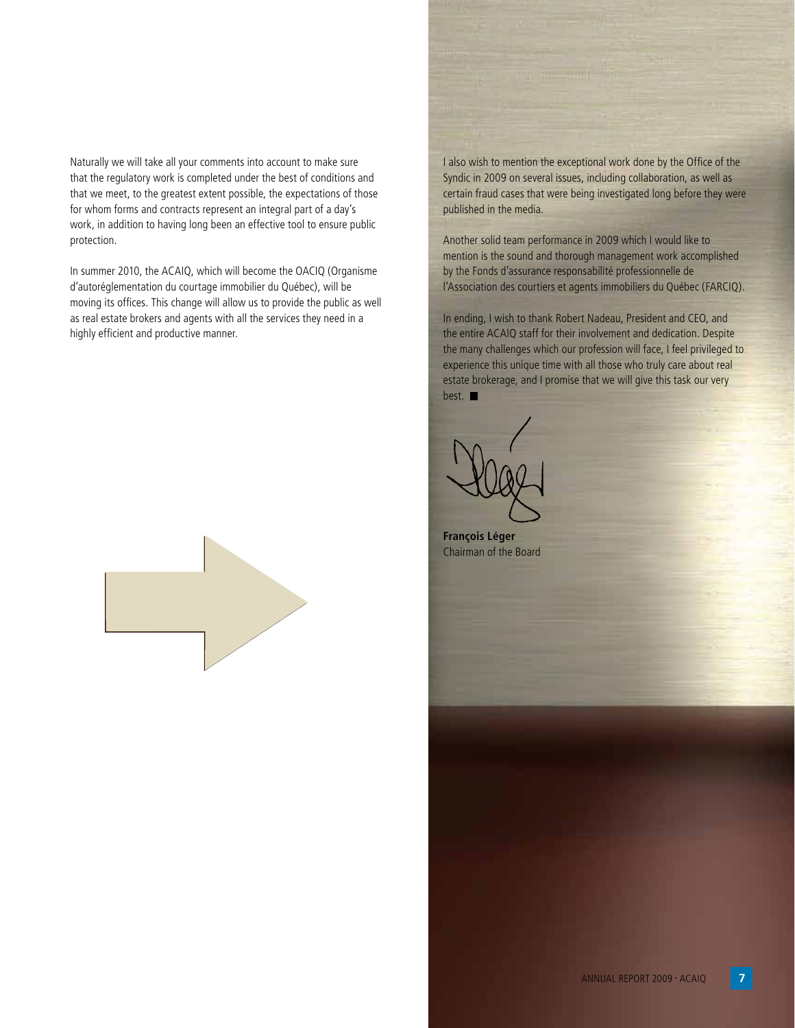Naturally we will take all your comments into account to make sure that the regulatory work is completed under the best of conditions and that we meet, to the greatest extent possible, the expectations of those for whom forms and contracts represent an integral part of a day's work, in addition to having long been an effective tool to ensure public protection.

In summer 2010, the ACAIQ, which will become the OACIQ (Organisme d'autoréglementation du courtage immobilier du Québec), will be moving its offices. This change will allow us to provide the public as well as real estate brokers and agents with all the services they need in a highly efficient and productive manner.



I also wish to mention the exceptional work done by the Office of the Syndic in 2009 on several issues, including collaboration, as well as certain fraud cases that were being investigated long before they were published in the media.

Another solid team performance in 2009 which I would like to mention is the sound and thorough management work accomplished by the Fonds d'assurance responsabilité professionnelle de l'Association des courtiers et agents immobiliers du Québec (FARCIQ).

In ending, I wish to thank Robert Nadeau, President and CEO, and the entire ACAIQ staff for their involvement and dedication. Despite the many challenges which our profession will face, I feel privileged to experience this unique time with all those who truly care about real estate brokerage, and I promise that we will give this task our very best.

**François Léger** Chairman of the Board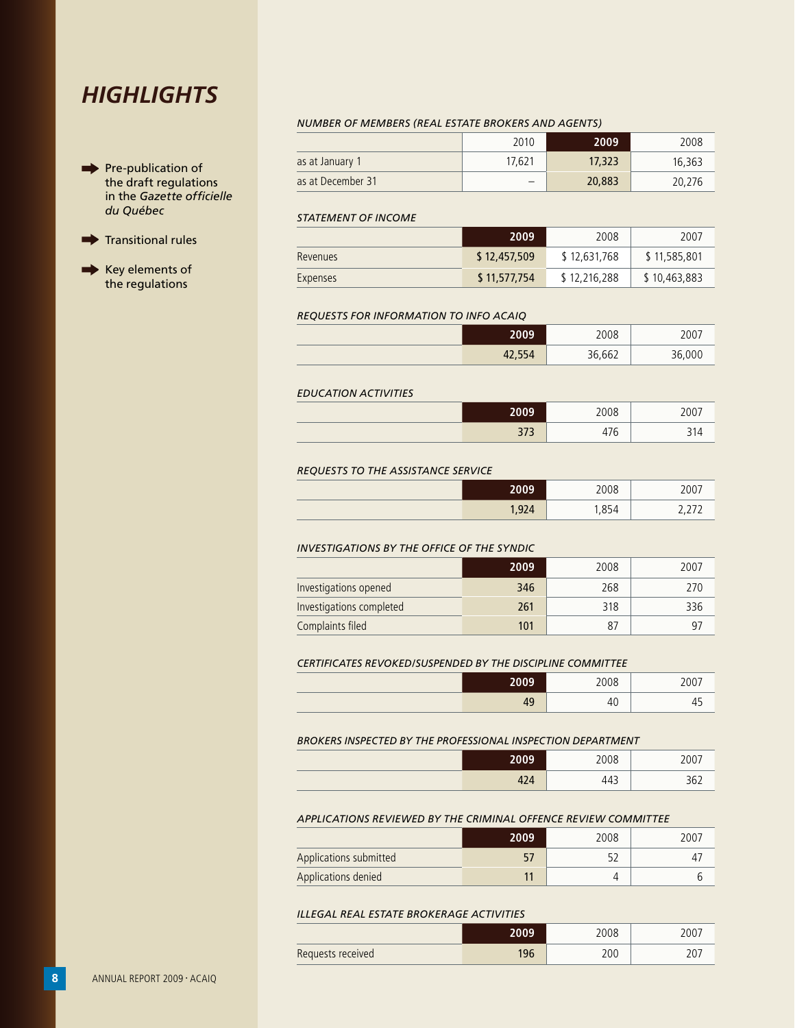# *Highlights*

Pre-publication of the draft regulations in the *Gazette officielle du Québec*

#### **• Transitional rules**

 $\blacktriangleright$  Key elements of the regulations

#### *Number of members (real estate brokers and agents)*

|                   | 2010   | 2009   | 2008   |
|-------------------|--------|--------|--------|
| as at January 1   | 17.621 | 17,323 | 16,363 |
| as at December 31 |        | 20,883 | 20,276 |

#### *Statement of income*

|          | 2009         | 2008         | 2007         |
|----------|--------------|--------------|--------------|
| Revenues | \$12,457,509 | \$12,631,768 | \$11,585,801 |
| Expenses | \$11,577,754 | \$12,216,288 | \$10,463,883 |

#### *Requests for information to INFO ACAIQ*

| 2009   | 2008   | 2007   |
|--------|--------|--------|
| 42,554 | 36,662 | 36,000 |

#### *Education activities*

| 2009       | 2008          | 2007         |
|------------|---------------|--------------|
| 772<br>، ر | $\sim$<br>4/6 | $\mathbf{A}$ |

#### *Requests to the Assistance Service*

| 2009  | 2008  | 2007        |
|-------|-------|-------------|
| 1,924 | 1,854 | $L_1L_2L_1$ |

#### *Investigations by the Office of the Syndic*

|                          | 2009 | 2008 | 2007 |
|--------------------------|------|------|------|
| Investigations opened    | 346  | 268  |      |
| Investigations completed | 261  | 318  | 336  |
| Complaints filed         | 101  | 8    |      |

#### *Certificates revoked/suspended by the Discipline Committee*

| 2009 | 2008 | 2007<br>ZUU. |
|------|------|--------------|
| 49   | 40   | ℸၪ           |

#### *BROKERS INSPECTED BY THE PROFESSIONAL INSPECTION DEPARTMENT*

| 2009       | 2008          | 2007 |
|------------|---------------|------|
| 171<br>424 | $\sim$<br>445 | ےں ر |

#### *Applications reviewed by the Criminal Offence Review Committee*

|                        | 2009 | 2008 | 2007 |
|------------------------|------|------|------|
| Applications submitted |      |      |      |
| Applications denied    |      |      |      |

#### *Illegal real estate brokerage activities*

|                   | 2009 | 2008 | 2007 |
|-------------------|------|------|------|
| Requests received | 196  | 200  | דחר  |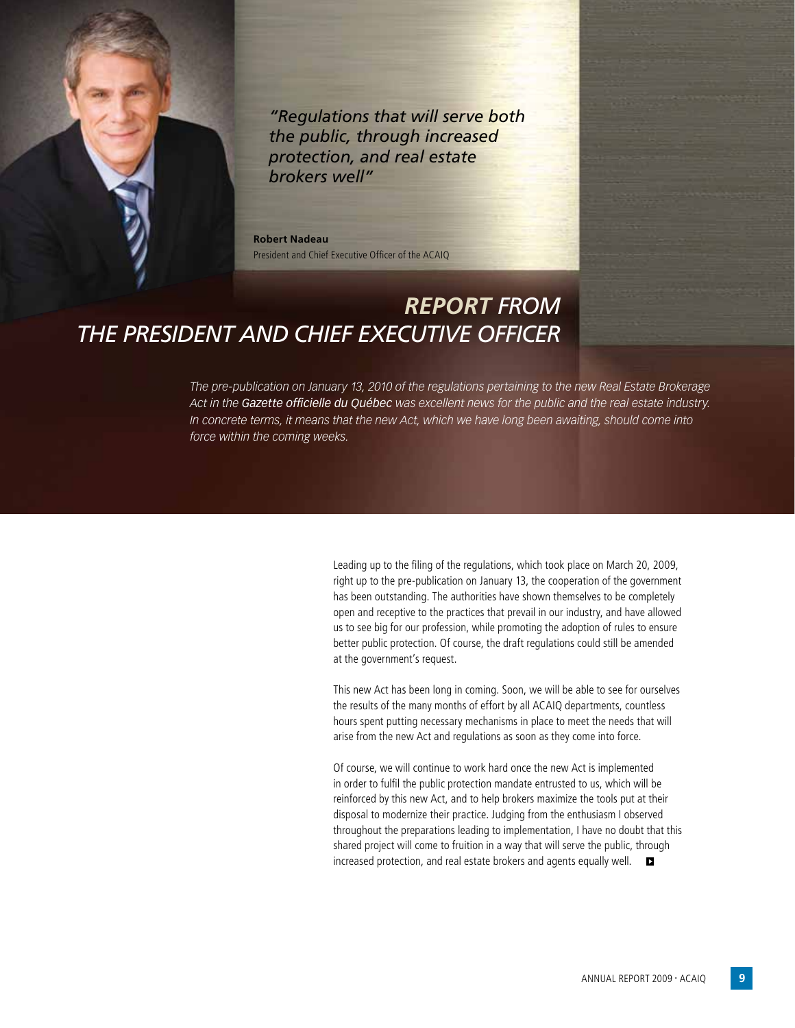*"Regulations that will serve both the public, through increased protection, and real estate brokers well"*

**Robert Nadeau** President and Chief Executive Officer of the ACAIQ

# *REPORT from the President and Chief Executive Officer*

*The pre-publication on January 13, 2010 of the regulations pertaining to the new Real Estate Brokerage Act in the Gazette officielle du Québec was excellent news for the public and the real estate industry. In concrete terms, it means that the new Act, which we have long been awaiting, should come into force within the coming weeks.*

> Leading up to the filing of the regulations, which took place on March 20, 2009, right up to the pre-publication on January 13, the cooperation of the government has been outstanding. The authorities have shown themselves to be completely open and receptive to the practices that prevail in our industry, and have allowed us to see big for our profession, while promoting the adoption of rules to ensure better public protection. Of course, the draft regulations could still be amended at the government's request.

> This new Act has been long in coming. Soon, we will be able to see for ourselves the results of the many months of effort by all ACAIQ departments, countless hours spent putting necessary mechanisms in place to meet the needs that will arise from the new Act and regulations as soon as they come into force.

> Of course, we will continue to work hard once the new Act is implemented in order to fulfil the public protection mandate entrusted to us, which will be reinforced by this new Act, and to help brokers maximize the tools put at their disposal to modernize their practice. Judging from the enthusiasm I observed throughout the preparations leading to implementation, I have no doubt that this shared project will come to fruition in a way that will serve the public, through increased protection, and real estate brokers and agents equally well.  $\Box$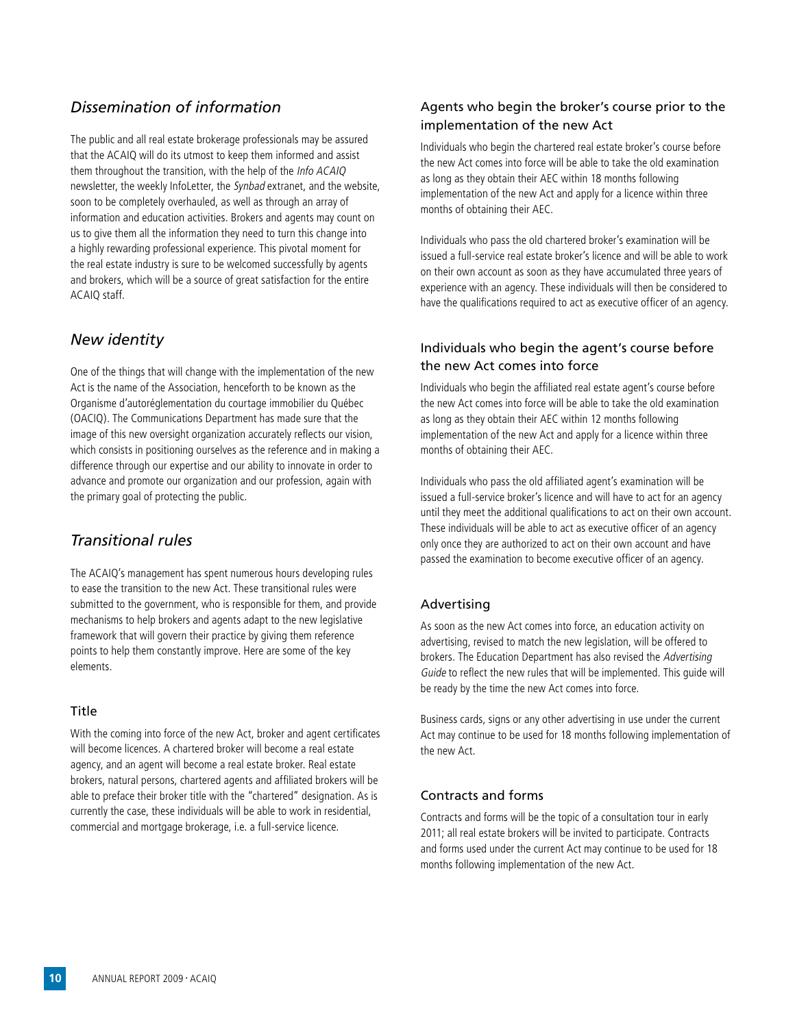## *Dissemination of information*

The public and all real estate brokerage professionals may be assured that the ACAIQ will do its utmost to keep them informed and assist them throughout the transition, with the help of the Info ACAIQ newsletter, the weekly InfoLetter, the Synbad extranet, and the website, soon to be completely overhauled, as well as through an array of information and education activities. Brokers and agents may count on us to give them all the information they need to turn this change into a highly rewarding professional experience. This pivotal moment for the real estate industry is sure to be welcomed successfully by agents and brokers, which will be a source of great satisfaction for the entire ACAIQ staff.

## *New identity*

One of the things that will change with the implementation of the new Act is the name of the Association, henceforth to be known as the Organisme d'autoréglementation du courtage immobilier du Québec (OACIQ). The Communications Department has made sure that the image of this new oversight organization accurately reflects our vision, which consists in positioning ourselves as the reference and in making a difference through our expertise and our ability to innovate in order to advance and promote our organization and our profession, again with the primary goal of protecting the public.

## *Transitional rules*

The ACAIQ's management has spent numerous hours developing rules to ease the transition to the new Act. These transitional rules were submitted to the government, who is responsible for them, and provide mechanisms to help brokers and agents adapt to the new legislative framework that will govern their practice by giving them reference points to help them constantly improve. Here are some of the key elements.

### Title

With the coming into force of the new Act, broker and agent certificates will become licences. A chartered broker will become a real estate agency, and an agent will become a real estate broker. Real estate brokers, natural persons, chartered agents and affiliated brokers will be able to preface their broker title with the "chartered" designation. As is currently the case, these individuals will be able to work in residential, commercial and mortgage brokerage, i.e. a full-service licence.

### Agents who begin the broker's course prior to the implementation of the new Act

Individuals who begin the chartered real estate broker's course before the new Act comes into force will be able to take the old examination as long as they obtain their AEC within 18 months following implementation of the new Act and apply for a licence within three months of obtaining their AEC.

Individuals who pass the old chartered broker's examination will be issued a full-service real estate broker's licence and will be able to work on their own account as soon as they have accumulated three years of experience with an agency. These individuals will then be considered to have the qualifications required to act as executive officer of an agency.

## Individuals who begin the agent's course before the new Act comes into force

Individuals who begin the affiliated real estate agent's course before the new Act comes into force will be able to take the old examination as long as they obtain their AEC within 12 months following implementation of the new Act and apply for a licence within three months of obtaining their AEC.

Individuals who pass the old affiliated agent's examination will be issued a full-service broker's licence and will have to act for an agency until they meet the additional qualifications to act on their own account. These individuals will be able to act as executive officer of an agency only once they are authorized to act on their own account and have passed the examination to become executive officer of an agency.

## Advertising

As soon as the new Act comes into force, an education activity on advertising, revised to match the new legislation, will be offered to brokers. The Education Department has also revised the Advertising Guide to reflect the new rules that will be implemented. This guide will be ready by the time the new Act comes into force.

Business cards, signs or any other advertising in use under the current Act may continue to be used for 18 months following implementation of the new Act.

### Contracts and forms

Contracts and forms will be the topic of a consultation tour in early 2011; all real estate brokers will be invited to participate. Contracts and forms used under the current Act may continue to be used for 18 months following implementation of the new Act.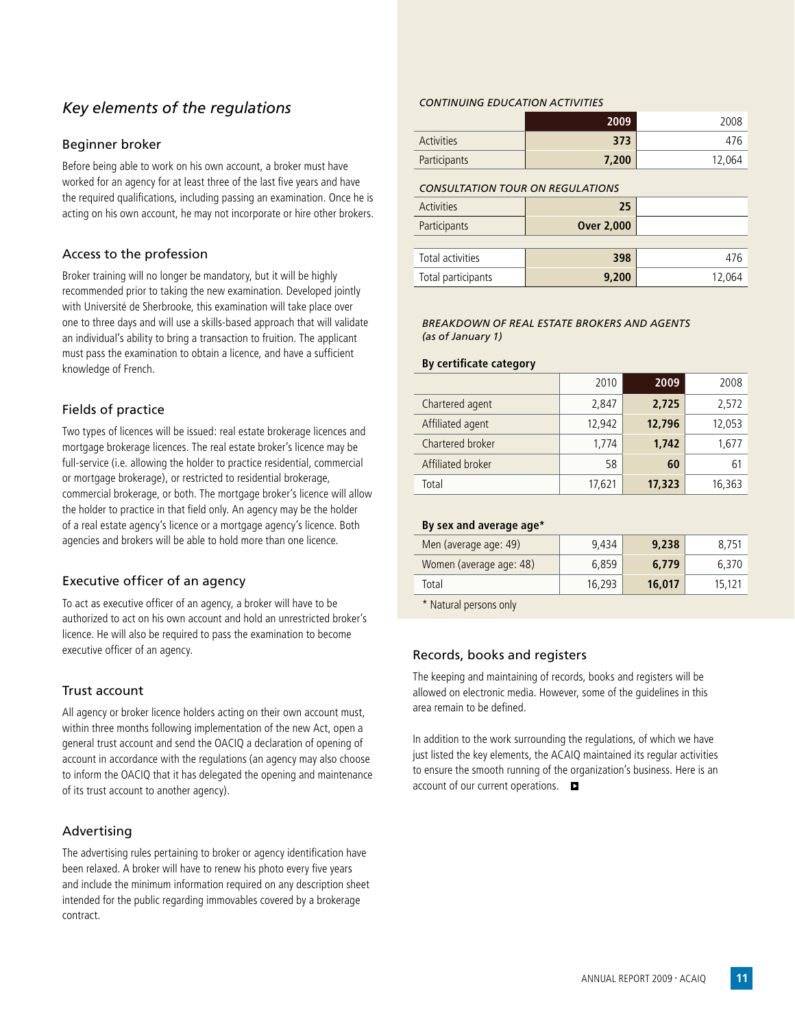## *Key elements of the regulations*

#### Beginner broker

Before being able to work on his own account, a broker must have worked for an agency for at least three of the last five years and have the required qualifications, including passing an examination. Once he is acting on his own account, he may not incorporate or hire other brokers.

### Access to the profession

Broker training will no longer be mandatory, but it will be highly recommended prior to taking the new examination. Developed jointly with Université de Sherbrooke, this examination will take place over one to three days and will use a skills-based approach that will validate an individual's ability to bring a transaction to fruition. The applicant must pass the examination to obtain a licence, and have a sufficient knowledge of French.

## Fields of practice

Two types of licences will be issued: real estate brokerage licences and mortgage brokerage licences. The real estate broker's licence may be full-service (i.e. allowing the holder to practice residential, commercial or mortgage brokerage), or restricted to residential brokerage, commercial brokerage, or both. The mortgage broker's licence will allow the holder to practice in that field only. An agency may be the holder of a real estate agency's licence or a mortgage agency's licence. Both agencies and brokers will be able to hold more than one licence.

### Executive officer of an agency

To act as executive officer of an agency, a broker will have to be authorized to act on his own account and hold an unrestricted broker's licence. He will also be required to pass the examination to become executive officer of an agency.

#### Trust account

All agency or broker licence holders acting on their own account must, within three months following implementation of the new Act, open a general trust account and send the OACIQ a declaration of opening of account in accordance with the regulations (an agency may also choose to inform the OACIQ that it has delegated the opening and maintenance of its trust account to another agency).

### Advertising

The advertising rules pertaining to broker or agency identification have been relaxed. A broker will have to renew his photo every five years and include the minimum information required on any description sheet intended for the public regarding immovables covered by a brokerage contract.

#### *Continuing education activities*

|                   | 2009  | 2008   |
|-------------------|-------|--------|
| <b>Activities</b> | 373   | 476    |
| Participants      | 7,200 | 12,064 |

#### *Consultation tour on regulations*

| <b>Activities</b>  | 25                |        |
|--------------------|-------------------|--------|
| Participants       | <b>Over 2,000</b> |        |
|                    |                   |        |
| Total activities   | 398               |        |
| Total participants | 9,200             | 12,064 |

#### *Breakdown of real estate brokers and agents (as of January 1)*

#### **By certificate category**

|                   | 2010   | 2009   | 2008   |
|-------------------|--------|--------|--------|
| Chartered agent   | 2,847  | 2,725  | 2,572  |
| Affiliated agent  | 12,942 | 12,796 | 12,053 |
| Chartered broker  | 1,774  | 1,742  | 1,677  |
| Affiliated broker | 58     | 60     | 61     |
| Total             | 17,621 | 17,323 | 16,363 |

#### **By sex and average age\***

| Men (average age: 49)                              | 9,434  | 9,238  | 8.751  |
|----------------------------------------------------|--------|--------|--------|
| Women (average age: 48)                            | 6.859  | 6.779  | 6.370  |
| Total                                              | 16,293 | 16,017 | 15.121 |
| $\star$ and the contract of the contract of $\sim$ |        |        |        |

Natural persons only

### Records, books and registers

The keeping and maintaining of records, books and registers will be allowed on electronic media. However, some of the guidelines in this area remain to be defined.

In addition to the work surrounding the regulations, of which we have just listed the key elements, the ACAIQ maintained its regular activities to ensure the smooth running of the organization's business. Here is an account of our current operations.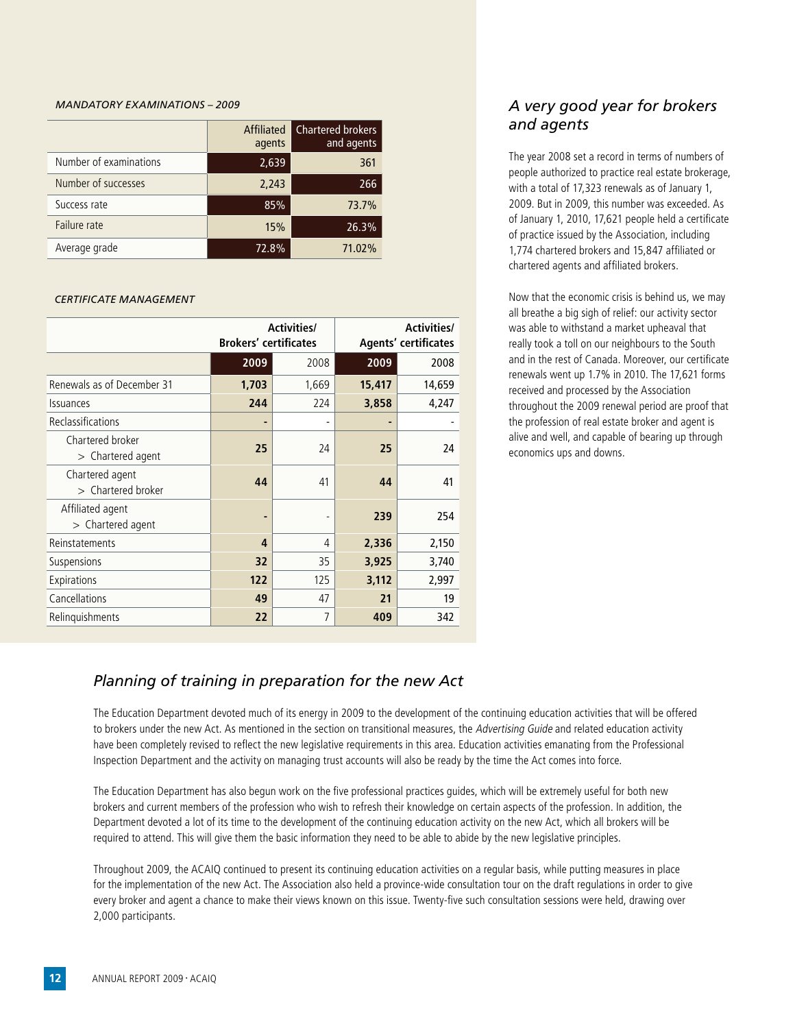#### *Mandatory examinations – 2009*

|                        | Affiliated<br>agents | <b>Chartered brokers</b><br>and agents |
|------------------------|----------------------|----------------------------------------|
| Number of examinations | 2,639                | 361                                    |
| Number of successes    | 2,243                | 266                                    |
| Success rate           | 85%                  | 73.7%                                  |
| Failure rate           | 15%                  | 26.3%                                  |
| Average grade          | 72.8%                | 71.02%                                 |

#### *Certificate management*

|                                         | <b>Activities/</b><br><b>Brokers' certificates</b> |                          |        | <b>Activities/</b><br><b>Agents' certificates</b> |
|-----------------------------------------|----------------------------------------------------|--------------------------|--------|---------------------------------------------------|
|                                         | 2009                                               | 2008                     | 2009   | 2008                                              |
| Renewals as of December 31              | 1,703                                              | 1,669                    | 15,417 | 14,659                                            |
| <b>Issuances</b>                        | 244                                                | 224                      | 3,858  | 4,247                                             |
| Reclassifications                       |                                                    | -                        |        |                                                   |
| Chartered broker<br>$>$ Chartered agent | 25                                                 | 24                       | 25     | 24                                                |
| Chartered agent<br>$>$ Chartered broker | 44                                                 | 41                       | 44     | 41                                                |
| Affiliated agent<br>> Chartered agent   |                                                    | $\overline{\phantom{0}}$ | 239    | 254                                               |
| Reinstatements                          | $\overline{4}$                                     | 4                        | 2,336  | 2,150                                             |
| Suspensions                             | 32                                                 | 35                       | 3,925  | 3,740                                             |
| Expirations                             | 122                                                | 125                      | 3,112  | 2,997                                             |
| Cancellations                           | 49                                                 | 47                       | 21     | 19                                                |
| Relinquishments                         | 22                                                 | 7                        | 409    | 342                                               |

## *A very good year for brokers and agents*

The year 2008 set a record in terms of numbers of people authorized to practice real estate brokerage, with a total of 17,323 renewals as of January 1, 2009. But in 2009, this number was exceeded. As of January 1, 2010, 17,621 people held a certificate of practice issued by the Association, including 1,774 chartered brokers and 15,847 affiliated or chartered agents and affiliated brokers.

Now that the economic crisis is behind us, we may all breathe a big sigh of relief: our activity sector was able to withstand a market upheaval that really took a toll on our neighbours to the South and in the rest of Canada. Moreover, our certificate renewals went up 1.7% in 2010. The 17,621 forms received and processed by the Association throughout the 2009 renewal period are proof that the profession of real estate broker and agent is alive and well, and capable of bearing up through economics ups and downs.

### *Planning of training in preparation for the new Act*

The Education Department devoted much of its energy in 2009 to the development of the continuing education activities that will be offered to brokers under the new Act. As mentioned in the section on transitional measures, the Advertising Guide and related education activity have been completely revised to reflect the new legislative requirements in this area. Education activities emanating from the Professional Inspection Department and the activity on managing trust accounts will also be ready by the time the Act comes into force.

The Education Department has also begun work on the five professional practices guides, which will be extremely useful for both new brokers and current members of the profession who wish to refresh their knowledge on certain aspects of the profession. In addition, the Department devoted a lot of its time to the development of the continuing education activity on the new Act, which all brokers will be required to attend. This will give them the basic information they need to be able to abide by the new legislative principles.

Throughout 2009, the ACAIQ continued to present its continuing education activities on a regular basis, while putting measures in place for the implementation of the new Act. The Association also held a province-wide consultation tour on the draft regulations in order to give every broker and agent a chance to make their views known on this issue. Twenty-five such consultation sessions were held, drawing over 2,000 participants.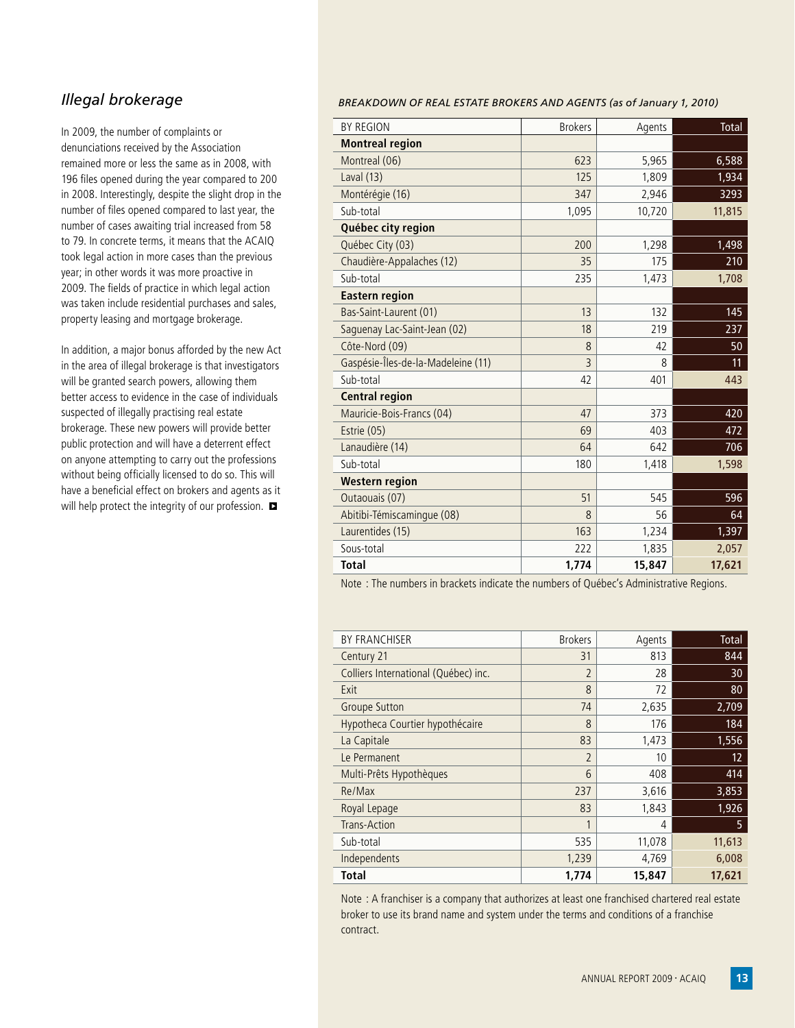## *Illegal brokerage*

In 2009, the number of complaints or denunciations received by the Association remained more or less the same as in 2008, with 196 files opened during the year compared to 200 in 2008. Interestingly, despite the slight drop in the number of files opened compared to last year, the number of cases awaiting trial increased from 58 to 79. In concrete terms, it means that the ACAIQ took legal action in more cases than the previous year; in other words it was more proactive in 2009. The fields of practice in which legal action was taken include residential purchases and sales, property leasing and mortgage brokerage.

In addition, a major bonus afforded by the new Act in the area of illegal brokerage is that investigators will be granted search powers, allowing them better access to evidence in the case of individuals suspected of illegally practising real estate brokerage. These new powers will provide better public protection and will have a deterrent effect on anyone attempting to carry out the professions without being officially licensed to do so. This will have a beneficial effect on brokers and agents as it will help protect the integrity of our profession.  $\square$ 

*Breakdown of real estate brokers and agents (as of January 1, 2010)*

| <b>BY REGION</b>                   | <b>Brokers</b> | Agents | <b>Total</b> |
|------------------------------------|----------------|--------|--------------|
| <b>Montreal region</b>             |                |        |              |
| Montreal (06)                      | 623            | 5,965  | 6,588        |
| Laval (13)                         | 125            | 1,809  | 1,934        |
| Montérégie (16)                    | 347            | 2,946  | 3293         |
| Sub-total                          | 1,095          | 10,720 | 11,815       |
| Québec city region                 |                |        |              |
| Québec City (03)                   | 200            | 1,298  | 1,498        |
| Chaudière-Appalaches (12)          | 35             | 175    | 210          |
| Sub-total                          | 235            | 1,473  | 1,708        |
| <b>Eastern region</b>              |                |        |              |
| Bas-Saint-Laurent (01)             | 13             | 132    | 145          |
| Saguenay Lac-Saint-Jean (02)       | 18             | 219    | 237          |
| Côte-Nord (09)                     | 8              | 42     | 50           |
| Gaspésie-Îles-de-la-Madeleine (11) | 3              | 8      | 11           |
| Sub-total                          | 42             | 401    | 443          |
| <b>Central region</b>              |                |        |              |
| Mauricie-Bois-Francs (04)          | 47             | 373    | 420          |
| Estrie (05)                        | 69             | 403    | 472          |
| Lanaudière (14)                    | 64             | 642    | 706          |
| Sub-total                          | 180            | 1,418  | 1,598        |
| <b>Western region</b>              |                |        |              |
| Outaouais (07)                     | 51             | 545    | 596          |
| Abitibi-Témiscamingue (08)         | 8              | 56     | 64           |
| Laurentides (15)                   | 163            | 1,234  | 1,397        |
| Sous-total                         | 222            | 1,835  | 2,057        |
| <b>Total</b>                       | 1,774          | 15,847 | 17,621       |

Note : The numbers in brackets indicate the numbers of Québec's Administrative Regions.

| <b>BY FRANCHISER</b>                 | <b>Brokers</b> | Agents | <b>Total</b> |
|--------------------------------------|----------------|--------|--------------|
| Century 21                           | 31             | 813    | 844          |
| Colliers International (Québec) inc. | $\overline{2}$ | 28     | 30           |
| Exit                                 | 8              | 72     | 80           |
| <b>Groupe Sutton</b>                 | 74             | 2,635  | 2,709        |
| Hypotheca Courtier hypothécaire      | 8              | 176    | 184          |
| La Capitale                          | 83             | 1,473  | 1,556        |
| Le Permanent                         | $\overline{2}$ | 10     | 12           |
| Multi-Prêts Hypothèques              | 6              | 408    | 414          |
| Re/Max                               | 237            | 3,616  | 3,853        |
| Royal Lepage                         | 83             | 1,843  | 1,926        |
| <b>Trans-Action</b>                  | 1              | 4      | 5            |
| Sub-total                            | 535            | 11,078 | 11,613       |
| Independents                         | 1,239          | 4,769  | 6,008        |
| Total                                | 1,774          | 15,847 | 17,621       |

Note : A franchiser is a company that authorizes at least one franchised chartered real estate broker to use its brand name and system under the terms and conditions of a franchise contract.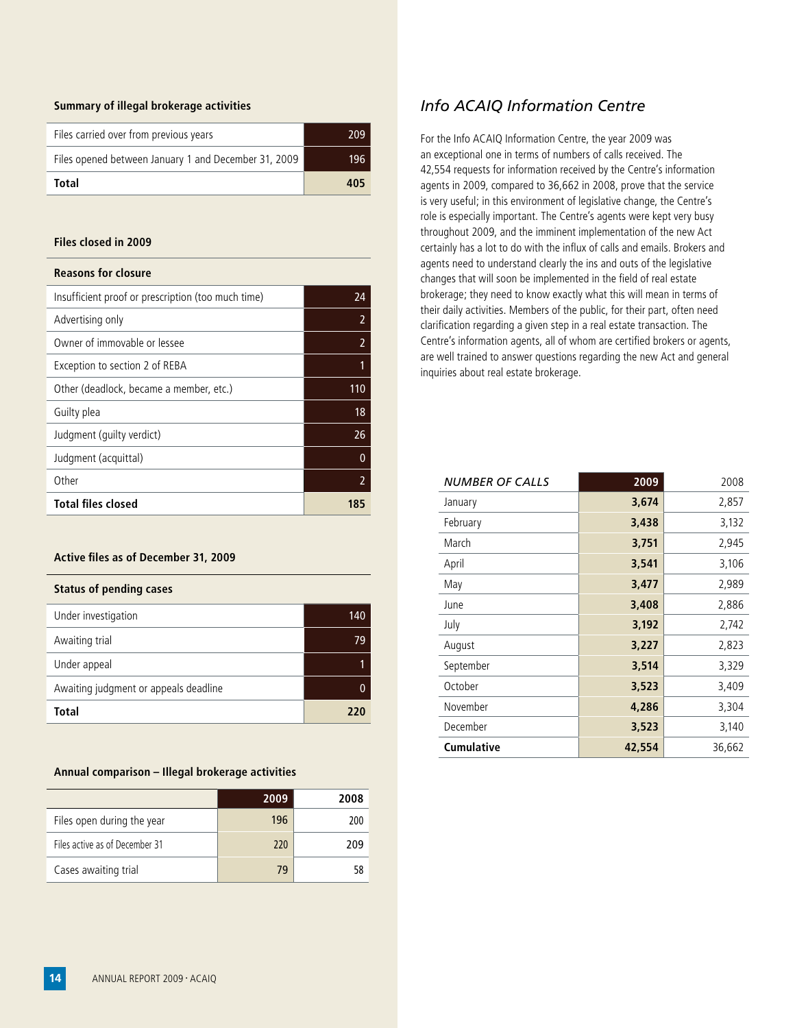#### **Summary of illegal brokerage activities**

| Files carried over from previous years               | 209  |
|------------------------------------------------------|------|
| Files opened between January 1 and December 31, 2009 | 196. |
| <b>Total</b>                                         | 405  |

#### **Files closed in 2009**

#### **Reasons for closure**

| Insufficient proof or prescription (too much time) | 24             |
|----------------------------------------------------|----------------|
| Advertising only                                   | $\overline{2}$ |
| Owner of immovable or lessee                       | $\overline{2}$ |
| Exception to section 2 of REBA                     | 1              |
| Other (deadlock, became a member, etc.)            | 110            |
| Guilty plea                                        | 18             |
| Judgment (quilty verdict)                          | 26             |
| Judgment (acquittal)                               | 0              |
| Other                                              | 2              |
| <b>Total files closed</b>                          | 185            |

#### **Active files as of December 31, 2009**

#### **Status of pending cases**

| Under investigation                   | 140 |
|---------------------------------------|-----|
| Awaiting trial                        | 79  |
| Under appeal                          |     |
| Awaiting judgment or appeals deadline |     |
| Total                                 | 220 |

#### **Annual comparison – Illegal brokerage activities**

|                                | 2009 | 2008 |
|--------------------------------|------|------|
| Files open during the year     | 196  | 200  |
| Files active as of December 31 | 220  | 209  |
| Cases awaiting trial           | 79   | 58   |

## *Info ACAIQ Information Centre*

For the Info ACAIQ Information Centre, the year 2009 was an exceptional one in terms of numbers of calls received. The 42,554 requests for information received by the Centre's information agents in 2009, compared to 36,662 in 2008, prove that the service is very useful; in this environment of legislative change, the Centre's role is especially important. The Centre's agents were kept very busy throughout 2009, and the imminent implementation of the new Act certainly has a lot to do with the influx of calls and emails. Brokers and agents need to understand clearly the ins and outs of the legislative changes that will soon be implemented in the field of real estate brokerage; they need to know exactly what this will mean in terms of their daily activities. Members of the public, for their part, often need clarification regarding a given step in a real estate transaction. The Centre's information agents, all of whom are certified brokers or agents, are well trained to answer questions regarding the new Act and general inquiries about real estate brokerage.

| <b>NUMBER OF CALLS</b> | 2009   | 2008   |
|------------------------|--------|--------|
| January                | 3,674  | 2,857  |
| February               | 3,438  | 3,132  |
| March                  | 3,751  | 2,945  |
| April                  | 3,541  | 3,106  |
| May                    | 3,477  | 2,989  |
| June                   | 3,408  | 2,886  |
| July                   | 3,192  | 2,742  |
| August                 | 3,227  | 2,823  |
| September              | 3,514  | 3,329  |
| October                | 3,523  | 3,409  |
| November               | 4,286  | 3,304  |
| December               | 3,523  | 3,140  |
| <b>Cumulative</b>      | 42,554 | 36,662 |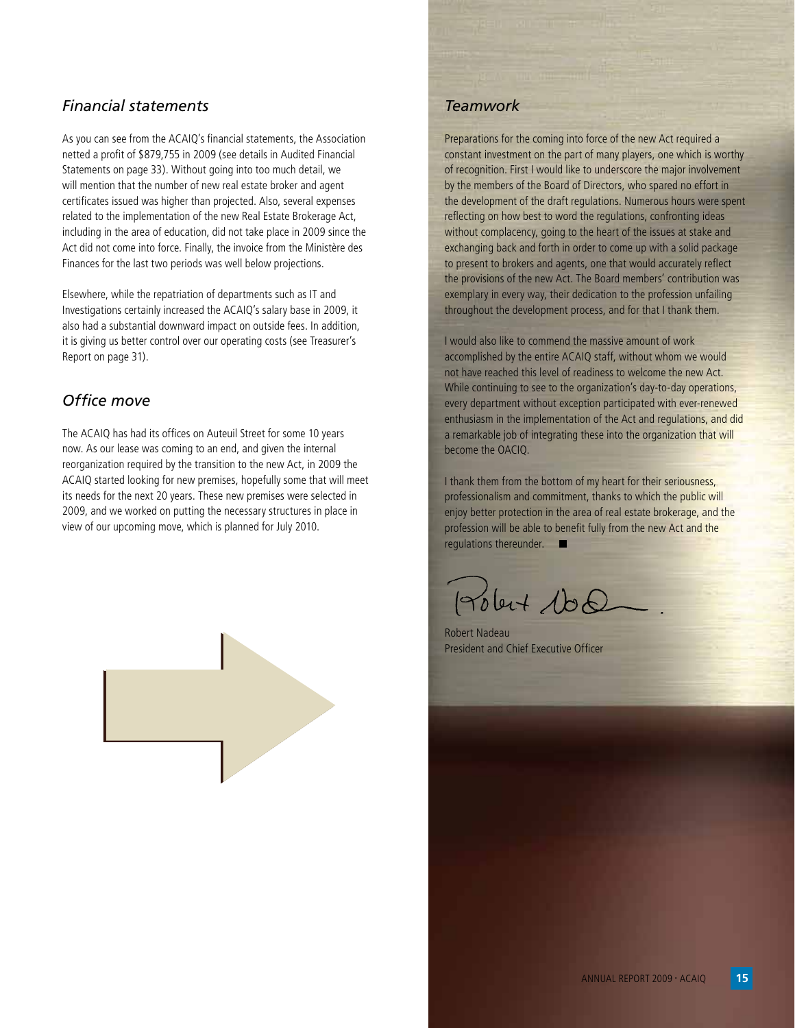## *Financial statements*

As you can see from the ACAIQ's financial statements, the Association netted a profit of \$879,755 in 2009 (see details in Audited Financial Statements on page 33). Without going into too much detail, we will mention that the number of new real estate broker and agent certificates issued was higher than projected. Also, several expenses related to the implementation of the new Real Estate Brokerage Act, including in the area of education, did not take place in 2009 since the Act did not come into force. Finally, the invoice from the Ministère des Finances for the last two periods was well below projections.

Elsewhere, while the repatriation of departments such as IT and Investigations certainly increased the ACAIQ's salary base in 2009, it also had a substantial downward impact on outside fees. In addition, it is giving us better control over our operating costs (see Treasurer's Report on page 31).

## *Office move*

The ACAIQ has had its offices on Auteuil Street for some 10 years now. As our lease was coming to an end, and given the internal reorganization required by the transition to the new Act, in 2009 the ACAIQ started looking for new premises, hopefully some that will meet its needs for the next 20 years. These new premises were selected in 2009, and we worked on putting the necessary structures in place in view of our upcoming move, which is planned for July 2010.



## *Teamwork*

Preparations for the coming into force of the new Act required a constant investment on the part of many players, one which is worthy of recognition. First I would like to underscore the major involvement by the members of the Board of Directors, who spared no effort in the development of the draft regulations. Numerous hours were spent reflecting on how best to word the regulations, confronting ideas without complacency, going to the heart of the issues at stake and exchanging back and forth in order to come up with a solid package to present to brokers and agents, one that would accurately reflect the provisions of the new Act. The Board members' contribution was exemplary in every way, their dedication to the profession unfailing throughout the development process, and for that I thank them.

I would also like to commend the massive amount of work accomplished by the entire ACAIQ staff, without whom we would not have reached this level of readiness to welcome the new Act. While continuing to see to the organization's day-to-day operations, every department without exception participated with ever-renewed enthusiasm in the implementation of the Act and regulations, and did a remarkable job of integrating these into the organization that will become the OACIQ.

I thank them from the bottom of my heart for their seriousness, professionalism and commitment, thanks to which the public will enjoy better protection in the area of real estate brokerage, and the profession will be able to benefit fully from the new Act and the regulations thereunder.

Polent 160

Robert Nadeau President and Chief Executive Officer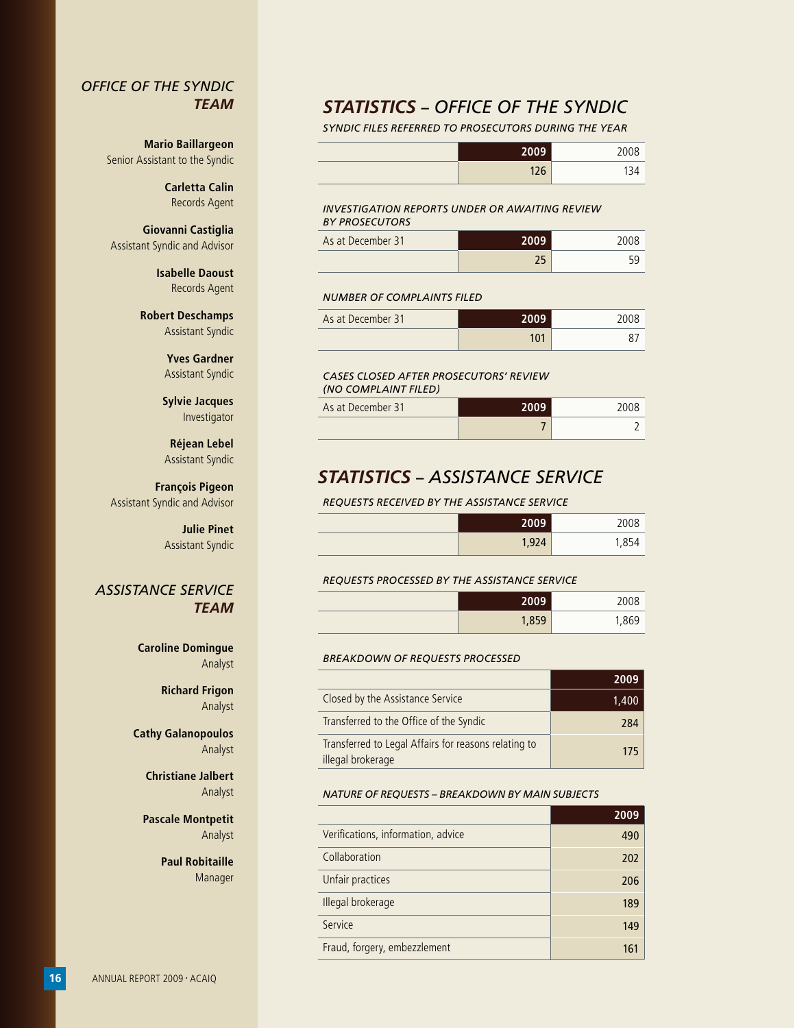## *Office of the syndic TEAM*

**Mario Baillargeon** Senior Assistant to the Syndic

> **Carletta Calin** Records Agent

**Giovanni Castiglia** Assistant Syndic and Advisor

> **Isabelle Daoust** Records Agent

**Robert Deschamps** Assistant Syndic

> **Yves Gardner** Assistant Syndic

**Sylvie Jacques** Investigator

**Réjean Lebel** Assistant Syndic

**François Pigeon** Assistant Syndic and Advisor

> **Julie Pinet** Assistant Syndic

## *assistance SERVICE TEAM*

**Caroline Domingue** Analyst

> **Richard Frigon** Analyst

**Cathy Galanopoulos** Analyst

> **Christiane Jalbert** Analyst

**Pascale Montpetit** Analyst

> **Paul Robitaille** Manager

## *Statistics* **–** *Office of the syndic*

*Syndic files referred to prosecutors during the year* 

| 2009 | 2008 |
|------|------|
| 126  | 134  |

#### *Investigation reports under or awaiting review by prosecutors*

| As at December 31 | 2009 |  |
|-------------------|------|--|
|                   | חר   |  |

#### *Number of complaints filed*

| As at December 31 | 2009            | 2008 |
|-------------------|-----------------|------|
|                   | 1 <sub>01</sub> |      |

#### *Cases closed after prosecutors' review (no complaint filed)*

| As at December 31 | 2009 |  |
|-------------------|------|--|
|                   |      |  |

## *Statistics* **–** *assistance Service*

#### *Requests received by the Assistance Service*

| 2009  | 2008  |
|-------|-------|
| 1,924 | 1,854 |

#### *Requests processed by the Assistance Service*

| 2009  | 2008  |
|-------|-------|
| 1,859 | 1,869 |

#### *Breakdown of requests processed*

| Closed by the Assistance Service                                          | 1,400 |
|---------------------------------------------------------------------------|-------|
| Transferred to the Office of the Syndic                                   | 284   |
| Transferred to Legal Affairs for reasons relating to<br>illegal brokerage | 175   |

#### *Nature of requests – Breakdown by main subjects*

|                                    | 2009 |
|------------------------------------|------|
| Verifications, information, advice | 490  |
| Collaboration                      | 202  |
| Unfair practices                   | 206  |
| Illegal brokerage                  | 189  |
| Service                            | 149  |
| Fraud, forgery, embezzlement       | 161  |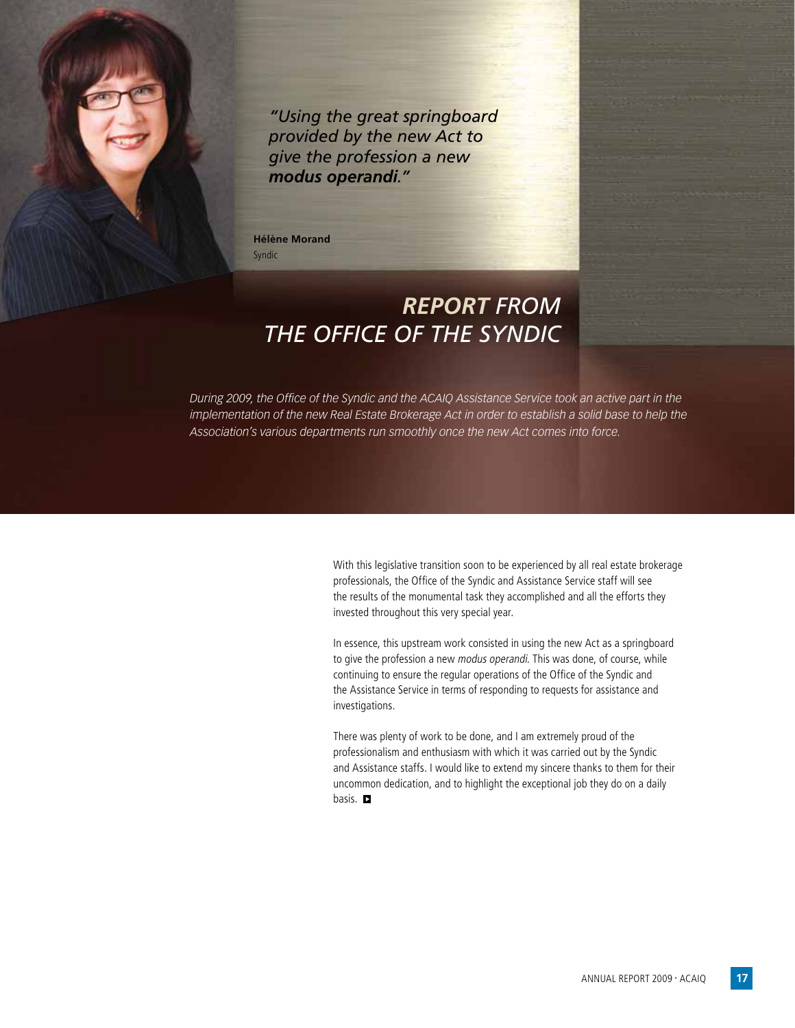*"Using the great springboard provided by the new Act to give the profession a new modus operandi."*

**Hélène Morand Syndic** 

# *REPORT from the Office of the Syndic*

*During 2009, the Office of the Syndic and the ACAIQ Assistance Service took an active part in the implementation of the new Real Estate Brokerage Act in order to establish a solid base to help the Association's various departments run smoothly once the new Act comes into force.*

> With this legislative transition soon to be experienced by all real estate brokerage professionals, the Office of the Syndic and Assistance Service staff will see the results of the monumental task they accomplished and all the efforts they invested throughout this very special year.

In essence, this upstream work consisted in using the new Act as a springboard to give the profession a new modus operandi. This was done, of course, while continuing to ensure the regular operations of the Office of the Syndic and the Assistance Service in terms of responding to requests for assistance and investigations.

There was plenty of work to be done, and I am extremely proud of the professionalism and enthusiasm with which it was carried out by the Syndic and Assistance staffs. I would like to extend my sincere thanks to them for their uncommon dedication, and to highlight the exceptional job they do on a daily basis. **D**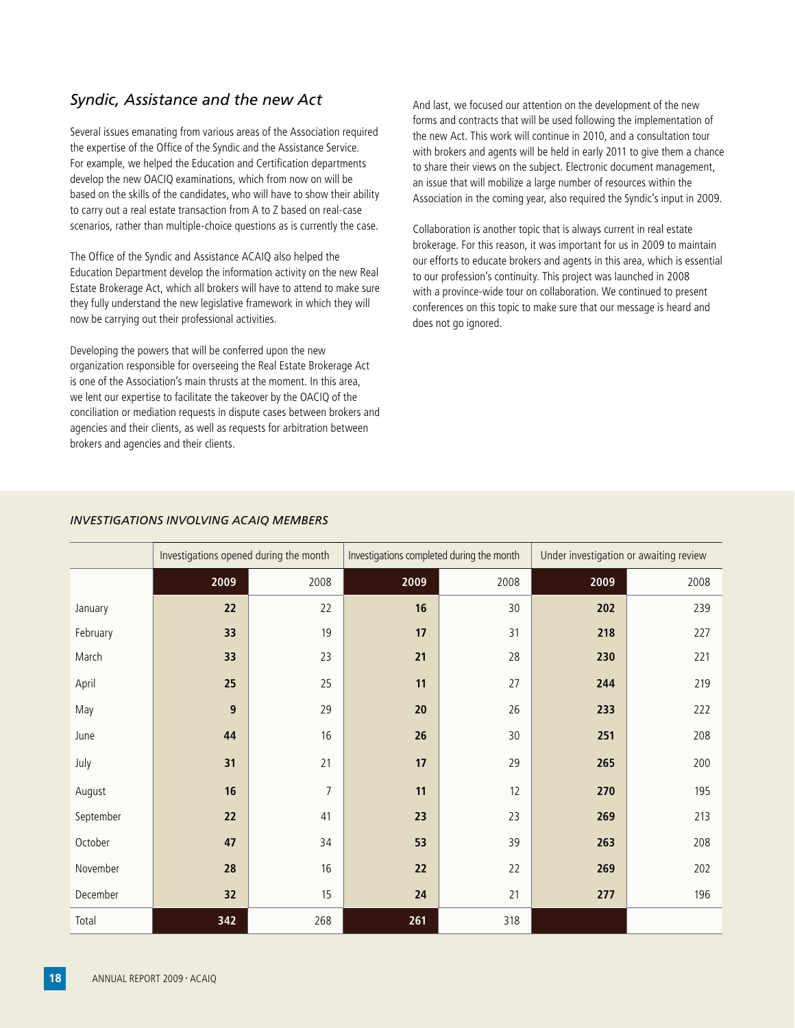## *Syndic, Assistance and the new Act*

Several issues emanating from various areas of the Association required the expertise of the Office of the Syndic and the Assistance Service. For example, we helped the Education and Certification departments develop the new OACIQ examinations, which from now on will be based on the skills of the candidates, who will have to show their ability to carry out a real estate transaction from A to Z based on real-case scenarios, rather than multiple-choice questions as is currently the case.

The Office of the Syndic and Assistance ACAIQ also helped the Education Department develop the information activity on the new Real Estate Brokerage Act, which all brokers will have to attend to make sure they fully understand the new legislative framework in which they will now be carrying out their professional activities.

Developing the powers that will be conferred upon the new organization responsible for overseeing the Real Estate Brokerage Act is one of the Association's main thrusts at the moment. In this area, we lent our expertise to facilitate the takeover by the OACIQ of the conciliation or mediation requests in dispute cases between brokers and agencies and their clients, as well as requests for arbitration between brokers and agencies and their clients.

And last, we focused our attention on the development of the new forms and contracts that will be used following the implementation of the new Act. This work will continue in 2010, and a consultation tour with brokers and agents will be held in early 2011 to give them a chance to share their views on the subject. Electronic document management, an issue that will mobilize a large number of resources within the Association in the coming year, also required the Syndic's input in 2009.

Collaboration is another topic that is always current in real estate brokerage. For this reason, it was important for us in 2009 to maintain our efforts to educate brokers and agents in this area, which is essential to our profession's continuity. This project was launched in 2008 with a province-wide tour on collaboration. We continued to present conferences on this topic to make sure that our message is heard and does not go ignored.

#### *Investigations involving ACAIQ members*

|           | Investigations opened during the month |                | Investigations completed during the month |      | Under investigation or awaiting review |      |
|-----------|----------------------------------------|----------------|-------------------------------------------|------|----------------------------------------|------|
|           | 2009                                   | 2008           | 2009                                      | 2008 | 2009                                   | 2008 |
| January   | 22                                     | 22             | 16                                        | 30   | 202                                    | 239  |
| February  | 33                                     | 19             | 17                                        | 31   | 218                                    | 227  |
| March     | 33                                     | 23             | 21                                        | 28   | 230                                    | 221  |
| April     | 25                                     | 25             | 11                                        | 27   | 244                                    | 219  |
| May       | 9                                      | 29             | 20                                        | 26   | 233                                    | 222  |
| June      | 44                                     | 16             | 26                                        | 30   | 251                                    | 208  |
| July      | 31                                     | 21             | 17                                        | 29   | 265                                    | 200  |
| August    | 16                                     | $\overline{7}$ | 11                                        | 12   | 270                                    | 195  |
| September | 22                                     | 41             | 23                                        | 23   | 269                                    | 213  |
| October   | 47                                     | 34             | 53                                        | 39   | 263                                    | 208  |
| November  | 28                                     | 16             | 22                                        | 22   | 269                                    | 202  |
| December  | 32                                     | 15             | 24                                        | 21   | 277                                    | 196  |
| Total     | 342                                    | 268            | 261                                       | 318  |                                        |      |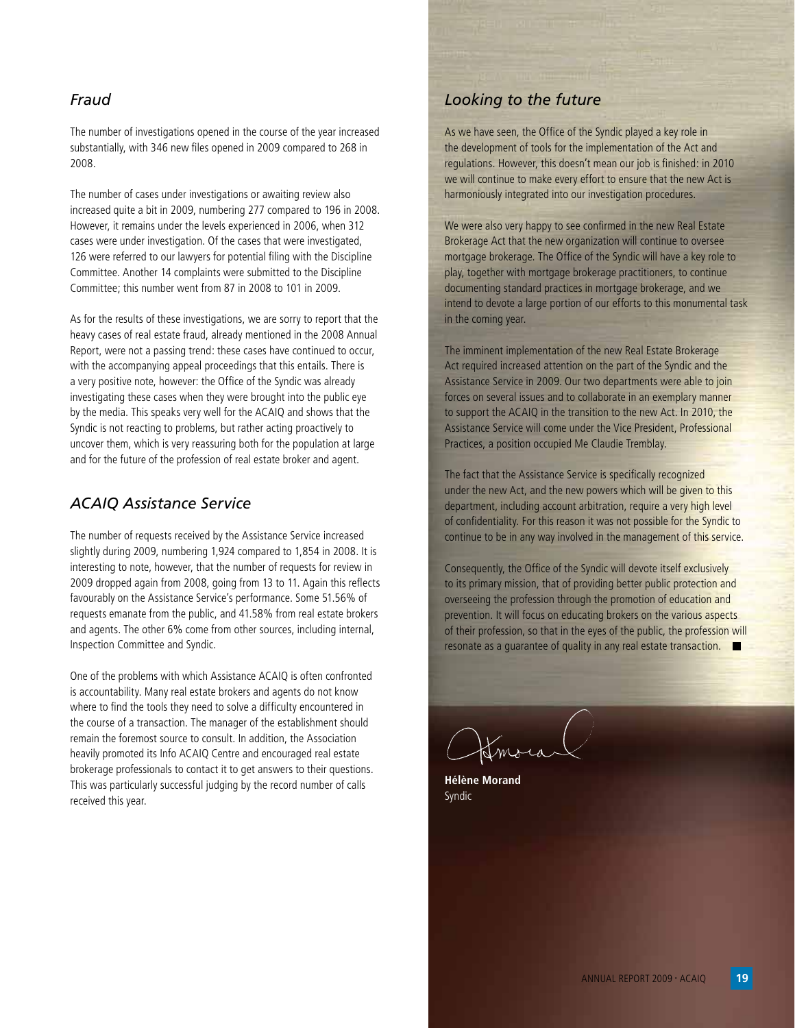## *Fraud*

The number of investigations opened in the course of the year increased substantially, with 346 new files opened in 2009 compared to 268 in 2008.

The number of cases under investigations or awaiting review also increased quite a bit in 2009, numbering 277 compared to 196 in 2008. However, it remains under the levels experienced in 2006, when 312 cases were under investigation. Of the cases that were investigated, 126 were referred to our lawyers for potential filing with the Discipline Committee. Another 14 complaints were submitted to the Discipline Committee; this number went from 87 in 2008 to 101 in 2009.

As for the results of these investigations, we are sorry to report that the heavy cases of real estate fraud, already mentioned in the 2008 Annual Report, were not a passing trend: these cases have continued to occur, with the accompanying appeal proceedings that this entails. There is a very positive note, however: the Office of the Syndic was already investigating these cases when they were brought into the public eye by the media. This speaks very well for the ACAIQ and shows that the Syndic is not reacting to problems, but rather acting proactively to uncover them, which is very reassuring both for the population at large and for the future of the profession of real estate broker and agent.

## *ACAIQ Assistance Service*

The number of requests received by the Assistance Service increased slightly during 2009, numbering 1,924 compared to 1,854 in 2008. It is interesting to note, however, that the number of requests for review in 2009 dropped again from 2008, going from 13 to 11. Again this reflects favourably on the Assistance Service's performance. Some 51.56% of requests emanate from the public, and 41.58% from real estate brokers and agents. The other 6% come from other sources, including internal, Inspection Committee and Syndic.

One of the problems with which Assistance ACAIQ is often confronted is accountability. Many real estate brokers and agents do not know where to find the tools they need to solve a difficulty encountered in the course of a transaction. The manager of the establishment should remain the foremost source to consult. In addition, the Association heavily promoted its Info ACAIQ Centre and encouraged real estate brokerage professionals to contact it to get answers to their questions. This was particularly successful judging by the record number of calls received this year.

## *Looking to the future*

As we have seen, the Office of the Syndic played a key role in the development of tools for the implementation of the Act and regulations. However, this doesn't mean our job is finished: in 2010 we will continue to make every effort to ensure that the new Act is harmoniously integrated into our investigation procedures.

We were also very happy to see confirmed in the new Real Estate Brokerage Act that the new organization will continue to oversee mortgage brokerage. The Office of the Syndic will have a key role to play, together with mortgage brokerage practitioners, to continue documenting standard practices in mortgage brokerage, and we intend to devote a large portion of our efforts to this monumental task in the coming year.

The imminent implementation of the new Real Estate Brokerage Act required increased attention on the part of the Syndic and the Assistance Service in 2009. Our two departments were able to join forces on several issues and to collaborate in an exemplary manner to support the ACAIQ in the transition to the new Act. In 2010, the Assistance Service will come under the Vice President, Professional Practices, a position occupied Me Claudie Tremblay.

The fact that the Assistance Service is specifically recognized under the new Act, and the new powers which will be given to this department, including account arbitration, require a very high level of confidentiality. For this reason it was not possible for the Syndic to continue to be in any way involved in the management of this service.

Consequently, the Office of the Syndic will devote itself exclusively to its primary mission, that of providing better public protection and overseeing the profession through the promotion of education and prevention. It will focus on educating brokers on the various aspects of their profession, so that in the eyes of the public, the profession will resonate as a guarantee of quality in any real estate transaction.

Imori

**Hélène Morand** Syndic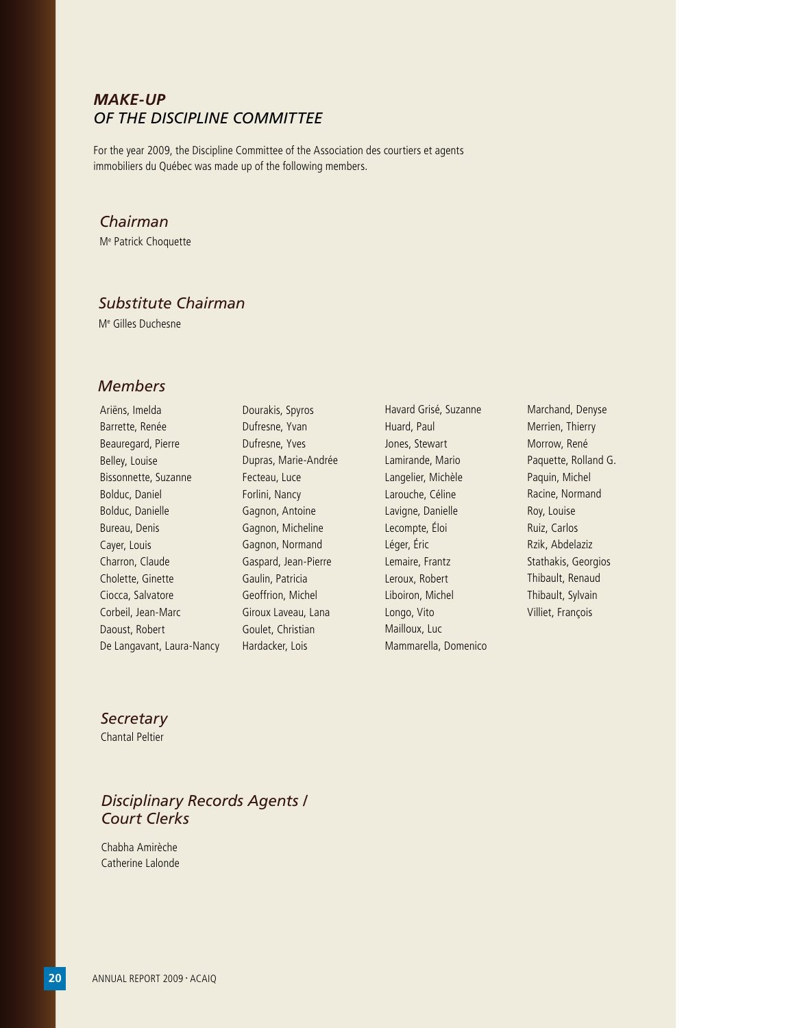## *Make-up OF THE DISCIPLINE COMMITTEE*

For the year 2009, the Discipline Committee of the Association des courtiers et agents immobiliers du Québec was made up of the following members.

### *Chairman*

Me Patrick Choquette

## *Substitute Chairman*

Me Gilles Duchesne

## *Members*

Ariëns, Imelda Barrette, Renée Beauregard, Pierre Belley, Louise Bissonnette, Suzanne Bolduc, Daniel Bolduc, Danielle Bureau, Denis Cayer, Louis Charron, Claude Cholette, Ginette Ciocca, Salvatore Corbeil, Jean-Marc Daoust, Robert De Langavant, Laura-Nancy

Dourakis, Spyros Dufresne, Yvan Dufresne, Yves Dupras, Marie-Andrée Fecteau, Luce Forlini, Nancy Gagnon, Antoine Gagnon, Micheline Gagnon, Normand Gaspard, Jean-Pierre Gaulin, Patricia Geoffrion, Michel Giroux Laveau, Lana Goulet, Christian Hardacker, Lois

Havard Grisé, Suzanne Huard, Paul Jones, Stewart Lamirande, Mario Langelier, Michèle Larouche, Céline Lavigne, Danielle Lecompte, Éloi Léger, Éric Lemaire, Frantz Leroux, Robert Liboiron, Michel Longo, Vito Mailloux, Luc Mammarella, Domenico Marchand, Denyse Merrien, Thierry Morrow, René Paquette, Rolland G. Paquin, Michel Racine, Normand Roy, Louise Ruiz, Carlos Rzik, Abdelaziz Stathakis, Georgios Thibault, Renaud Thibault, Sylvain Villiet, François

## *Secretary*

Chantal Peltier

## *Disciplinary Records Agents / Court Clerks*

Chabha Amirèche Catherine Lalonde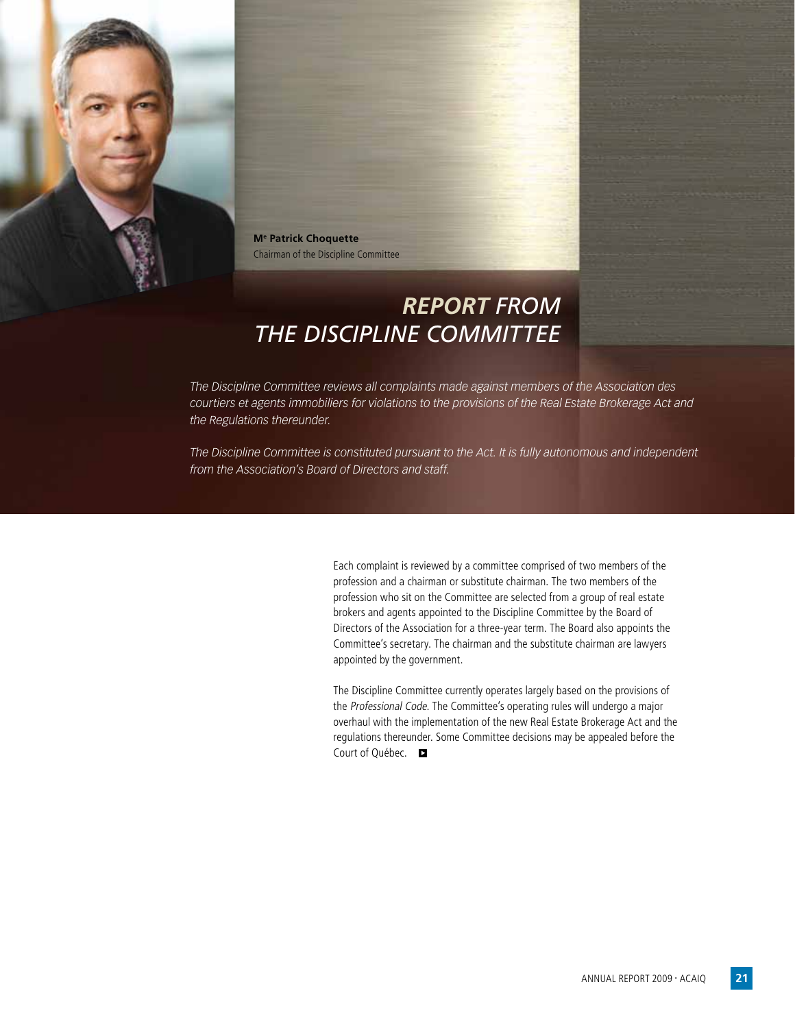

**Me Patrick Choquette** Chairman of the Discipline Committee

# *REPORT FROM THE DISCIPLINE COMMITTEE*

*The Discipline Committee reviews all complaints made against members of the Association des courtiers et agents immobiliers for violations to the provisions of the Real Estate Brokerage Act and the Regulations thereunder.*

*The Discipline Committee is constituted pursuant to the Act. It is fully autonomous and independent from the Association's Board of Directors and staff.*

> Each complaint is reviewed by a committee comprised of two members of the profession and a chairman or substitute chairman. The two members of the profession who sit on the Committee are selected from a group of real estate brokers and agents appointed to the Discipline Committee by the Board of Directors of the Association for a three-year term. The Board also appoints the Committee's secretary. The chairman and the substitute chairman are lawyers appointed by the government.

The Discipline Committee currently operates largely based on the provisions of the Professional Code. The Committee's operating rules will undergo a major overhaul with the implementation of the new Real Estate Brokerage Act and the regulations thereunder. Some Committee decisions may be appealed before the Court of Québec.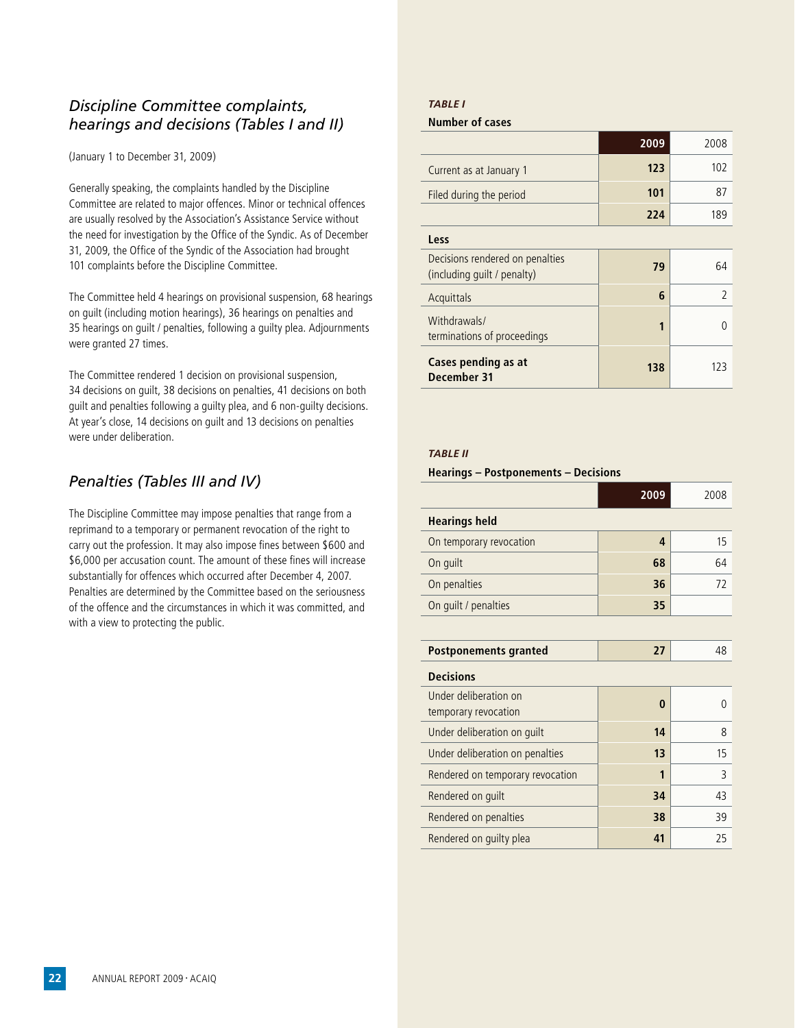## *Discipline Committee complaints, hearings and decisions (Tables I and II)*

(January 1 to December 31, 2009)

Generally speaking, the complaints handled by the Discipline Committee are related to major offences. Minor or technical offences are usually resolved by the Association's Assistance Service without the need for investigation by the Office of the Syndic. As of December 31, 2009, the Office of the Syndic of the Association had brought 101 complaints before the Discipline Committee.

The Committee held 4 hearings on provisional suspension, 68 hearings on guilt (including motion hearings), 36 hearings on penalties and 35 hearings on guilt / penalties, following a guilty plea. Adjournments were granted 27 times.

The Committee rendered 1 decision on provisional suspension, 34 decisions on guilt, 38 decisions on penalties, 41 decisions on both guilt and penalties following a guilty plea, and 6 non-guilty decisions. At year's close, 14 decisions on guilt and 13 decisions on penalties were under deliberation.

## *Penalties (Tables III and IV)*

The Discipline Committee may impose penalties that range from a reprimand to a temporary or permanent revocation of the right to carry out the profession. It may also impose fines between \$600 and \$6,000 per accusation count. The amount of these fines will increase substantially for offences which occurred after December 4, 2007. Penalties are determined by the Committee based on the seriousness of the offence and the circumstances in which it was committed, and with a view to protecting the public.

### *Table I*

**Number of cases**

|                                                                | 2009 | 2008          |
|----------------------------------------------------------------|------|---------------|
| Current as at January 1                                        | 123  | 102           |
| Filed during the period                                        | 101  | 87            |
|                                                                | 224  | 189           |
| Less                                                           |      |               |
| Decisions rendered on penalties<br>(including quilt / penalty) | 79   | 64            |
| Acquittals                                                     | 6    | $\mathcal{P}$ |
| Withdrawals/<br>terminations of proceedings                    | 1    | 0             |
| Cases pending as at<br>December 31                             | 138  | 123           |

### *Table II*

#### **Hearings – Postponements – Decisions**

|                                               | 2009     | 2008     |
|-----------------------------------------------|----------|----------|
| <b>Hearings held</b>                          |          |          |
| On temporary revocation                       | 4        | 15       |
| On guilt                                      | 68       | 64       |
| On penalties                                  | 36       | 72       |
| On guilt / penalties                          | 35       |          |
|                                               |          |          |
| Postponements granted                         | 27       | 48       |
| <b>Decisions</b>                              |          |          |
| Under deliberation on<br>temporary revocation | $\bf{0}$ | $\Omega$ |
| Under deliberation on guilt                   | 14       | 8        |
| Under deliberation on penalties               | 13       | 15       |
| Rendered on temporary revocation              | 1        | 3        |
| Rendered on quilt                             | 34       | 43       |
| Rendered on penalties                         | 38       | 39       |
| Rendered on guilty plea                       | 41       | 25       |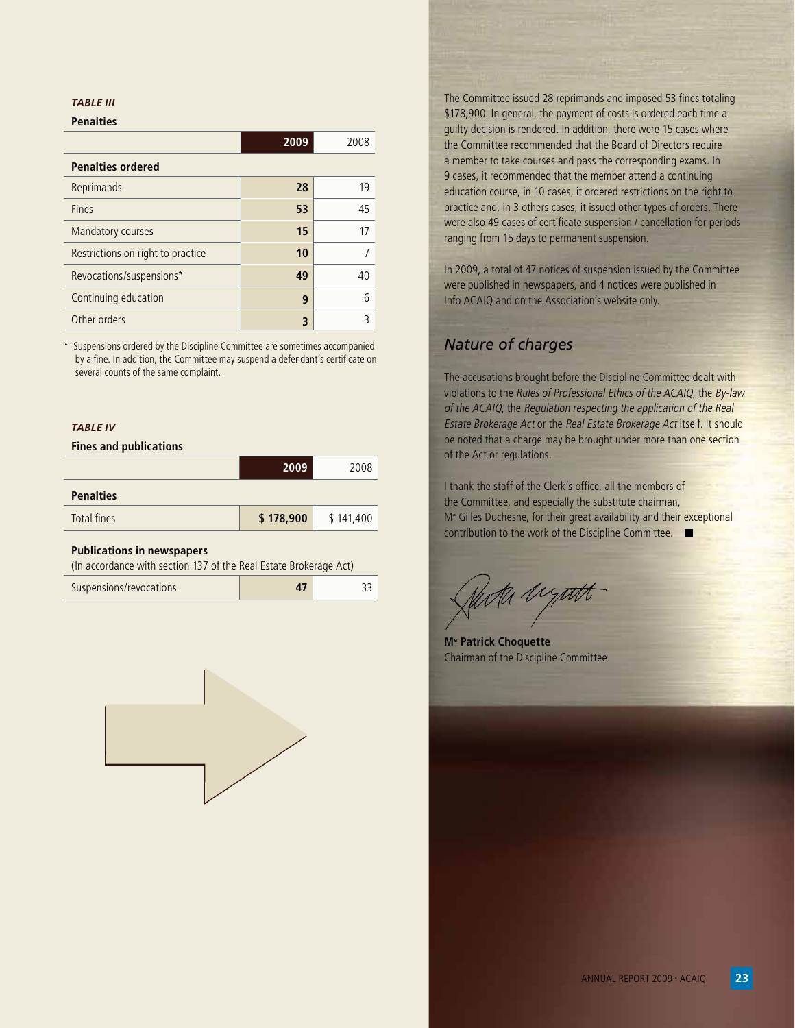#### *Table III*

**Penalties**

|                                   | 2009 | 2008 |
|-----------------------------------|------|------|
| <b>Penalties ordered</b>          |      |      |
| Reprimands                        | 28   | 19   |
| Fines                             | 53   | 45   |
| Mandatory courses                 | 15   | 17   |
| Restrictions on right to practice | 10   |      |
| Revocations/suspensions*          | 49   | 40   |
| Continuing education              | 9    | 6    |
| Other orders                      | 3    | 3    |

\* Suspensions ordered by the Discipline Committee are sometimes accompanied by a fine. In addition, the Committee may suspend a defendant's certificate on several counts of the same complaint.

#### *Table IV*

#### **Fines and publications**

|                  | 2009      | 2008      |
|------------------|-----------|-----------|
| <b>Penalties</b> |           |           |
| Total fines      | \$178,900 | \$141,400 |

#### **Publications in newspapers**

(In accordance with section 137 of the Real Estate Brokerage Act)

| Suspensions/revocations |  |  |
|-------------------------|--|--|
|-------------------------|--|--|



The Committee issued 28 reprimands and imposed 53 fines totaling \$178,900. In general, the payment of costs is ordered each time a guilty decision is rendered. In addition, there were 15 cases where the Committee recommended that the Board of Directors require a member to take courses and pass the corresponding exams. In 9 cases, it recommended that the member attend a continuing education course, in 10 cases, it ordered restrictions on the right to practice and, in 3 others cases, it issued other types of orders. There were also 49 cases of certificate suspension / cancellation for periods ranging from 15 days to permanent suspension.

In 2009, a total of 47 notices of suspension issued by the Committee were published in newspapers, and 4 notices were published in Info ACAIQ and on the Association's website only.

### *Nature of charges*

The accusations brought before the Discipline Committee dealt with violations to the Rules of Professional Ethics of the ACAIQ, the By-law of the ACAIQ, the Regulation respecting the application of the Real Estate Brokerage Act or the Real Estate Brokerage Act itself. It should be noted that a charge may be brought under more than one section of the Act or regulations.

I thank the staff of the Clerk's office, all the members of the Committee, and especially the substitute chairman, Me Gilles Duchesne, for their great availability and their exceptional contribution to the work of the Discipline Committee. П

Nexta Myutt

**Me Patrick Choquette** Chairman of the Discipline Committee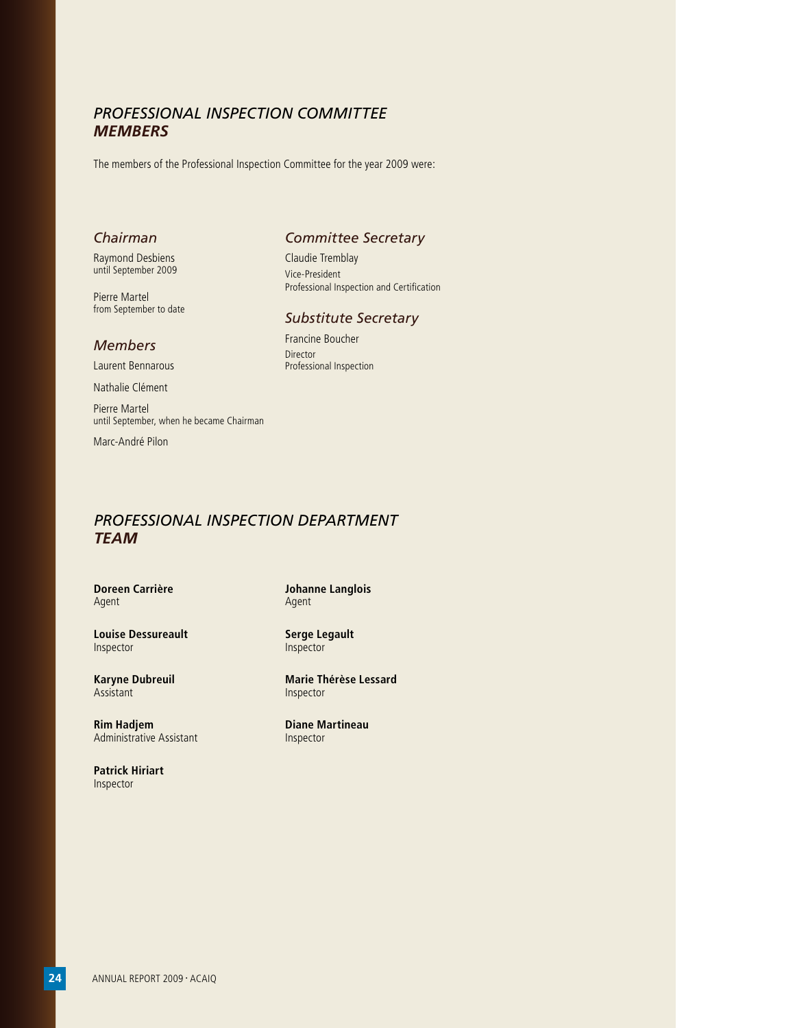## *Professional inspection committee Members*

The members of the Professional Inspection Committee for the year 2009 were:

#### *Chairman*

Raymond Desbiens until September 2009

Pierre Martel from September to date

#### *Members*

Laurent Bennarous

Nathalie Clément

Pierre Martel until September, when he became Chairman

Marc-André Pilon

#### *Committee Secretary*

Claudie Tremblay Vice-President Professional Inspection and Certification

#### *Substitute Secretary*

Francine Boucher Director Professional Inspection

## *PROFESSIONAL INSPECTION DEPARTMENT TEAM*

**Doreen Carrière** Agent

**Johanne Langlois** Agent

**Louise Dessureault** Inspector

**Serge Legault** Inspector

**Karyne Dubreuil** Assistant

**Rim Hadjem** Administrative Assistant

**Patrick Hiriart** Inspector

**Marie Thérèse Lessard** Inspector

**Diane Martineau** Inspector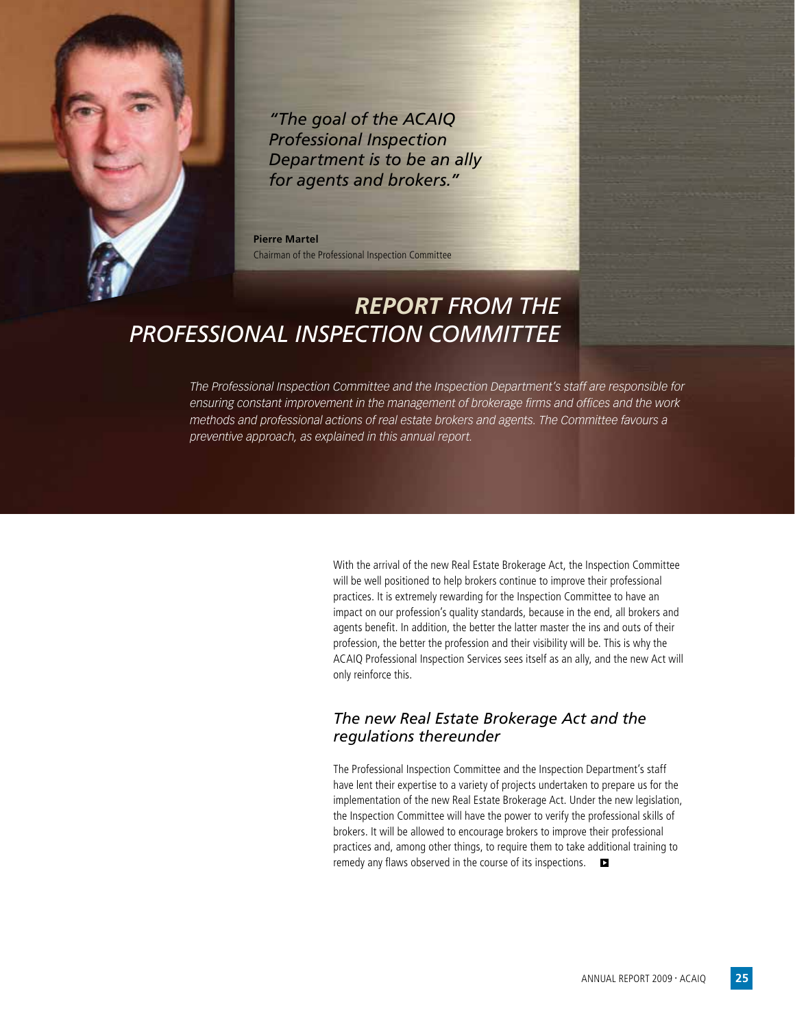

*"The goal of the ACAIQ Professional Inspection Department is to be an ally for agents and brokers."*

**Pierre Martel** Chairman of the Professional Inspection Committee

# *REPORT From the Professional Inspection Committee*

*The Professional Inspection Committee and the Inspection Department's staff are responsible for ensuring constant improvement in the management of brokerage firms and offices and the work methods and professional actions of real estate brokers and agents. The Committee favours a preventive approach, as explained in this annual report.*

> With the arrival of the new Real Estate Brokerage Act, the Inspection Committee will be well positioned to help brokers continue to improve their professional practices. It is extremely rewarding for the Inspection Committee to have an impact on our profession's quality standards, because in the end, all brokers and agents benefit. In addition, the better the latter master the ins and outs of their profession, the better the profession and their visibility will be. This is why the ACAIQ Professional Inspection Services sees itself as an ally, and the new Act will only reinforce this.

## *The new Real Estate Brokerage Act and the regulations thereunder*

The Professional Inspection Committee and the Inspection Department's staff have lent their expertise to a variety of projects undertaken to prepare us for the implementation of the new Real Estate Brokerage Act. Under the new legislation, the Inspection Committee will have the power to verify the professional skills of brokers. It will be allowed to encourage brokers to improve their professional practices and, among other things, to require them to take additional training to remedy any flaws observed in the course of its inspections.  $\Box$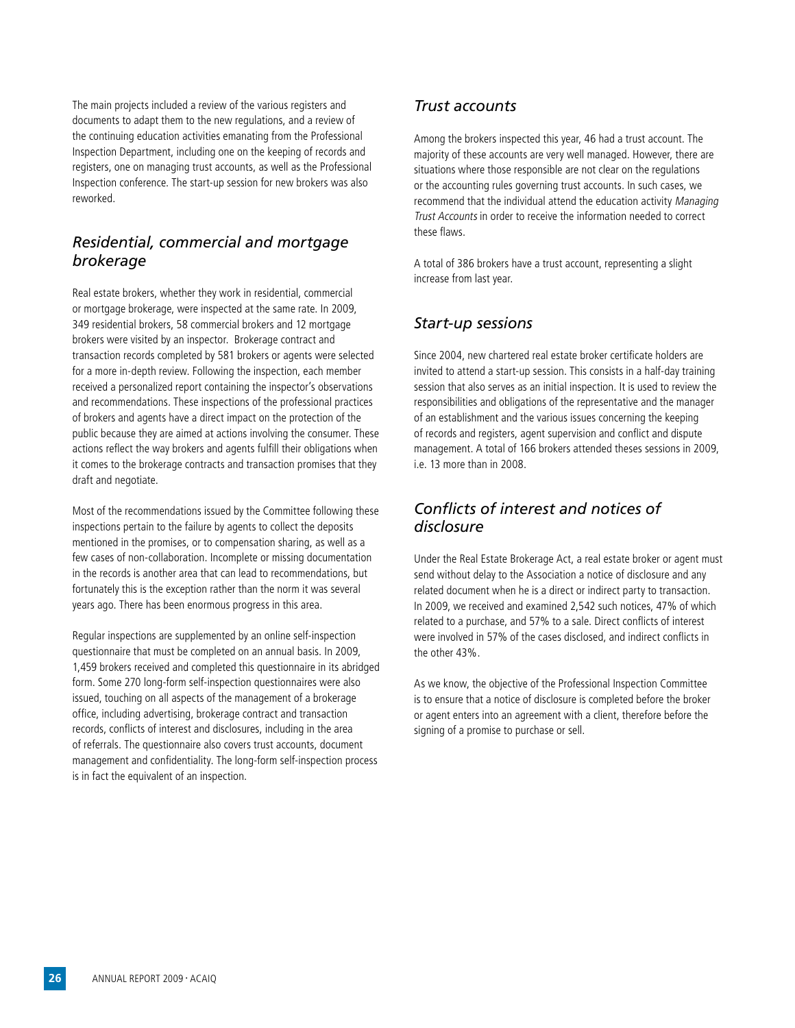The main projects included a review of the various registers and documents to adapt them to the new regulations, and a review of the continuing education activities emanating from the Professional Inspection Department, including one on the keeping of records and registers, one on managing trust accounts, as well as the Professional Inspection conference. The start-up session for new brokers was also reworked.

## *Residential, commercial and mortgage brokerage*

Real estate brokers, whether they work in residential, commercial or mortgage brokerage, were inspected at the same rate. In 2009, 349 residential brokers, 58 commercial brokers and 12 mortgage brokers were visited by an inspector. Brokerage contract and transaction records completed by 581 brokers or agents were selected for a more in-depth review. Following the inspection, each member received a personalized report containing the inspector's observations and recommendations. These inspections of the professional practices of brokers and agents have a direct impact on the protection of the public because they are aimed at actions involving the consumer. These actions reflect the way brokers and agents fulfill their obligations when it comes to the brokerage contracts and transaction promises that they draft and negotiate.

Most of the recommendations issued by the Committee following these inspections pertain to the failure by agents to collect the deposits mentioned in the promises, or to compensation sharing, as well as a few cases of non-collaboration. Incomplete or missing documentation in the records is another area that can lead to recommendations, but fortunately this is the exception rather than the norm it was several years ago. There has been enormous progress in this area.

Regular inspections are supplemented by an online self-inspection questionnaire that must be completed on an annual basis. In 2009, 1,459 brokers received and completed this questionnaire in its abridged form. Some 270 long-form self-inspection questionnaires were also issued, touching on all aspects of the management of a brokerage office, including advertising, brokerage contract and transaction records, conflicts of interest and disclosures, including in the area of referrals. The questionnaire also covers trust accounts, document management and confidentiality. The long-form self-inspection process is in fact the equivalent of an inspection.

## *Trust accounts*

Among the brokers inspected this year, 46 had a trust account. The majority of these accounts are very well managed. However, there are situations where those responsible are not clear on the regulations or the accounting rules governing trust accounts. In such cases, we recommend that the individual attend the education activity Managing Trust Accounts in order to receive the information needed to correct these flaws.

A total of 386 brokers have a trust account, representing a slight increase from last year.

## *Start-up sessions*

Since 2004, new chartered real estate broker certificate holders are invited to attend a start-up session. This consists in a half-day training session that also serves as an initial inspection. It is used to review the responsibilities and obligations of the representative and the manager of an establishment and the various issues concerning the keeping of records and registers, agent supervision and conflict and dispute management. A total of 166 brokers attended theses sessions in 2009, i.e. 13 more than in 2008.

## *Conflicts of interest and notices of disclosure*

Under the Real Estate Brokerage Act, a real estate broker or agent must send without delay to the Association a notice of disclosure and any related document when he is a direct or indirect party to transaction. In 2009, we received and examined 2,542 such notices, 47% of which related to a purchase, and 57% to a sale. Direct conflicts of interest were involved in 57% of the cases disclosed, and indirect conflicts in the other 43%.

As we know, the objective of the Professional Inspection Committee is to ensure that a notice of disclosure is completed before the broker or agent enters into an agreement with a client, therefore before the signing of a promise to purchase or sell.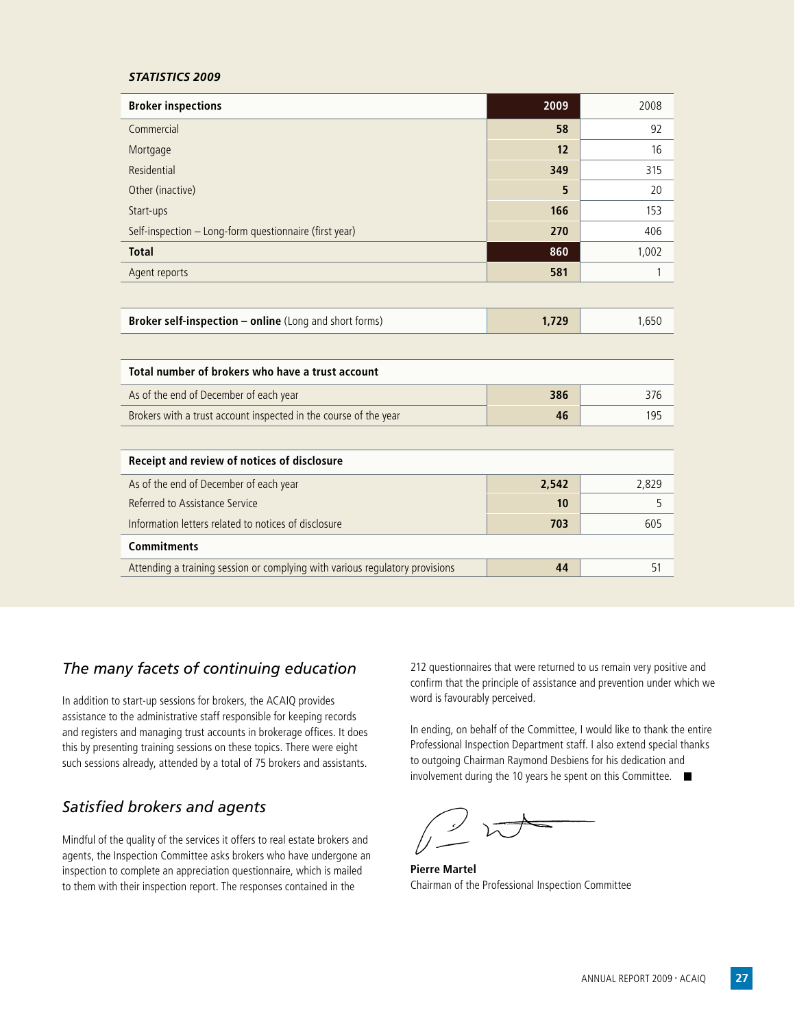#### *StatistiCs 2009*

| <b>Broker inspections</b>                                                       | 2009  | 2008  |  |  |  |
|---------------------------------------------------------------------------------|-------|-------|--|--|--|
| Commercial                                                                      | 58    | 92    |  |  |  |
| Mortgage                                                                        | 12    | 16    |  |  |  |
| Residential                                                                     | 349   | 315   |  |  |  |
| Other (inactive)                                                                | 5     | 20    |  |  |  |
| Start-ups                                                                       | 166   | 153   |  |  |  |
| Self-inspection - Long-form questionnaire (first year)                          | 270   | 406   |  |  |  |
| <b>Total</b>                                                                    | 860   | 1,002 |  |  |  |
| Agent reports                                                                   | 581   | 1     |  |  |  |
|                                                                                 |       |       |  |  |  |
| <b>Broker self-inspection - online</b> (Long and short forms)<br>1,729<br>1,650 |       |       |  |  |  |
|                                                                                 |       |       |  |  |  |
| Total number of brokers who have a trust account                                |       |       |  |  |  |
| As of the end of December of each year                                          | 386   | 376   |  |  |  |
| Brokers with a trust account inspected in the course of the year                | 46    | 195   |  |  |  |
|                                                                                 |       |       |  |  |  |
| Receipt and review of notices of disclosure                                     |       |       |  |  |  |
| As of the end of December of each year                                          | 2,542 | 2,829 |  |  |  |
| Referred to Assistance Service                                                  | 10    | 5     |  |  |  |
| Information letters related to notices of disclosure                            | 703   | 605   |  |  |  |
| <b>Commitments</b>                                                              |       |       |  |  |  |
| Attending a training session or complying with various regulatory provisions    | 44    | 51    |  |  |  |

## *The many facets of continuing education*

In addition to start-up sessions for brokers, the ACAIQ provides assistance to the administrative staff responsible for keeping records and registers and managing trust accounts in brokerage offices. It does this by presenting training sessions on these topics. There were eight such sessions already, attended by a total of 75 brokers and assistants.

## *Satisfied brokers and agents*

Mindful of the quality of the services it offers to real estate brokers and agents, the Inspection Committee asks brokers who have undergone an inspection to complete an appreciation questionnaire, which is mailed to them with their inspection report. The responses contained in the

212 questionnaires that were returned to us remain very positive and confirm that the principle of assistance and prevention under which we word is favourably perceived.

In ending, on behalf of the Committee, I would like to thank the entire Professional Inspection Department staff. I also extend special thanks to outgoing Chairman Raymond Desbiens for his dedication and involvement during the 10 years he spent on this Committee.

**Pierre Martel** Chairman of the Professional Inspection Committee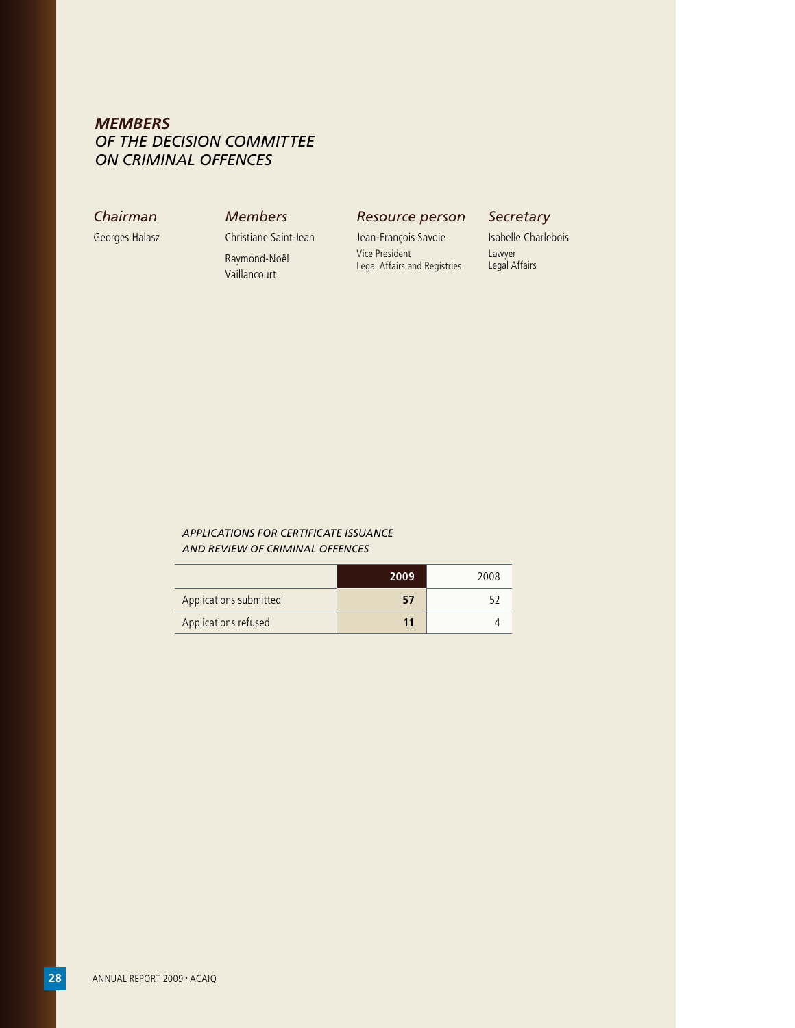## *Members of the decision committee on criminal offences*

## *Chairman*

#### *Members*

#### *Resource person*

### *Secretary*

Georges Halasz

Christiane Saint-Jean Raymond-Noël Vaillancourt

Jean-François Savoie Vice President Legal Affairs and Registries Isabelle Charlebois Lawyer Legal Affairs

#### *Applications for certificate issuance and review of criminal offences*

|                        | 2009 | 2008 |
|------------------------|------|------|
| Applications submitted | 57   |      |
| Applications refused   |      |      |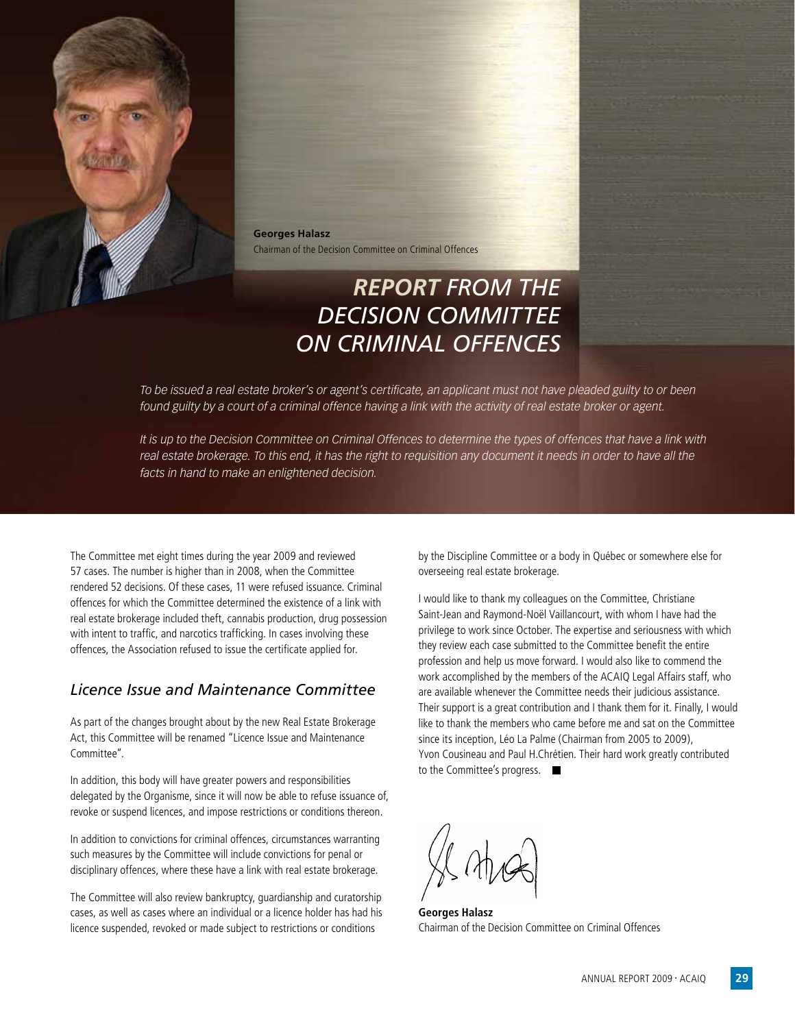

**Georges Halasz** Chairman of the Decision Committee on Criminal Offences

# *REPORT from the Decision Committee on Criminal Offences*

*To be issued a real estate broker's or agent's certificate, an applicant must not have pleaded guilty to or been*  found guilty by a court of a criminal offence having a link with the activity of real estate broker or agent.

*It is up to the Decision Committee on Criminal Offences to determine the types of offences that have a link with*  real estate brokerage. To this end, it has the right to requisition any document it needs in order to have all the *facts in hand to make an enlightened decision.*

The Committee met eight times during the year 2009 and reviewed 57 cases. The number is higher than in 2008, when the Committee rendered 52 decisions. Of these cases, 11 were refused issuance. Criminal offences for which the Committee determined the existence of a link with real estate brokerage included theft, cannabis production, drug possession with intent to traffic, and narcotics trafficking. In cases involving these offences, the Association refused to issue the certificate applied for.

## *Licence Issue and Maintenance Committee*

As part of the changes brought about by the new Real Estate Brokerage Act, this Committee will be renamed "Licence Issue and Maintenance Committee".

In addition, this body will have greater powers and responsibilities delegated by the Organisme, since it will now be able to refuse issuance of, revoke or suspend licences, and impose restrictions or conditions thereon.

In addition to convictions for criminal offences, circumstances warranting such measures by the Committee will include convictions for penal or disciplinary offences, where these have a link with real estate brokerage.

The Committee will also review bankruptcy, guardianship and curatorship cases, as well as cases where an individual or a licence holder has had his licence suspended, revoked or made subject to restrictions or conditions

by the Discipline Committee or a body in Québec or somewhere else for overseeing real estate brokerage.

I would like to thank my colleagues on the Committee, Christiane Saint-Jean and Raymond-Noël Vaillancourt, with whom I have had the privilege to work since October. The expertise and seriousness with which they review each case submitted to the Committee benefit the entire profession and help us move forward. I would also like to commend the work accomplished by the members of the ACAIQ Legal Affairs staff, who are available whenever the Committee needs their judicious assistance. Their support is a great contribution and I thank them for it. Finally, I would like to thank the members who came before me and sat on the Committee since its inception, Léo La Palme (Chairman from 2005 to 2009), Yvon Cousineau and Paul H.Chrétien. Their hard work greatly contributed to the Committee's progress.

**Georges Halasz** Chairman of the Decision Committee on Criminal Offences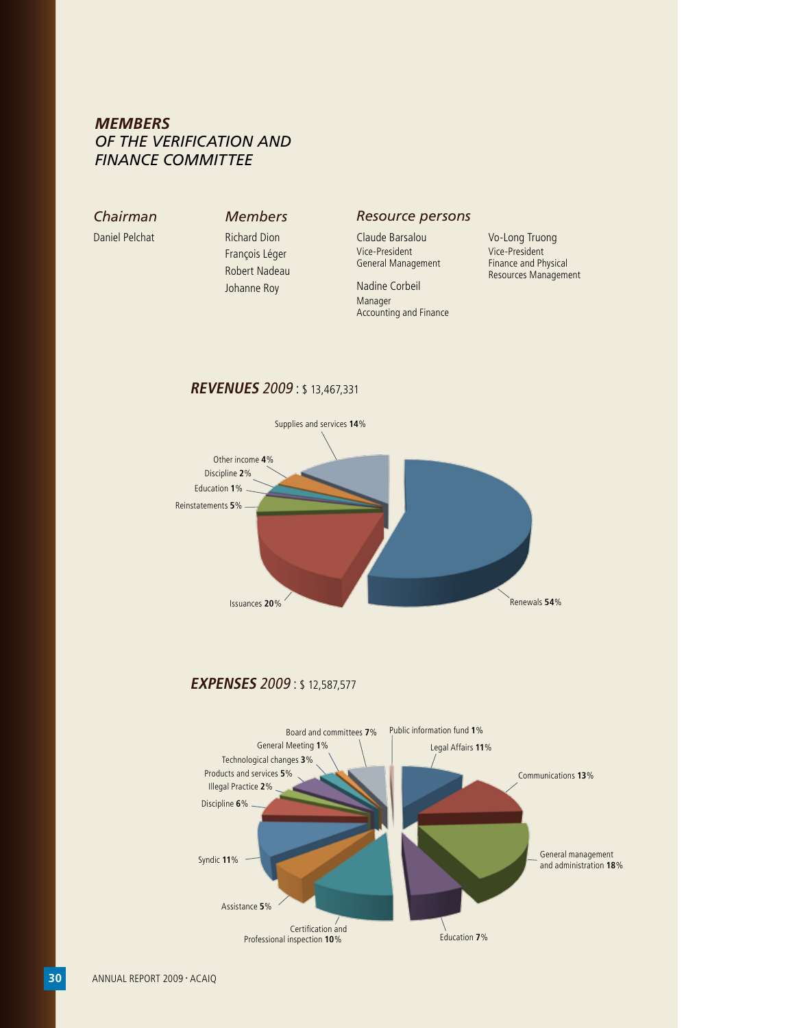## *MembeRs of the Verification and Finance Committee*

#### *Members*

*Chairman* Daniel Pelchat

Richard Dion François Léger Robert Nadeau Johanne Roy

#### *Resource persons*

Claude Barsalou Vice-President General Management

Nadine Corbeil Manager Accounting and Finance Vo-Long Truong Vice-President Finance and Physical Resources Management

## **Revenues** 2009 : \$ 13,467,331



## **Expenses** 2009 : \$ 12,587,577

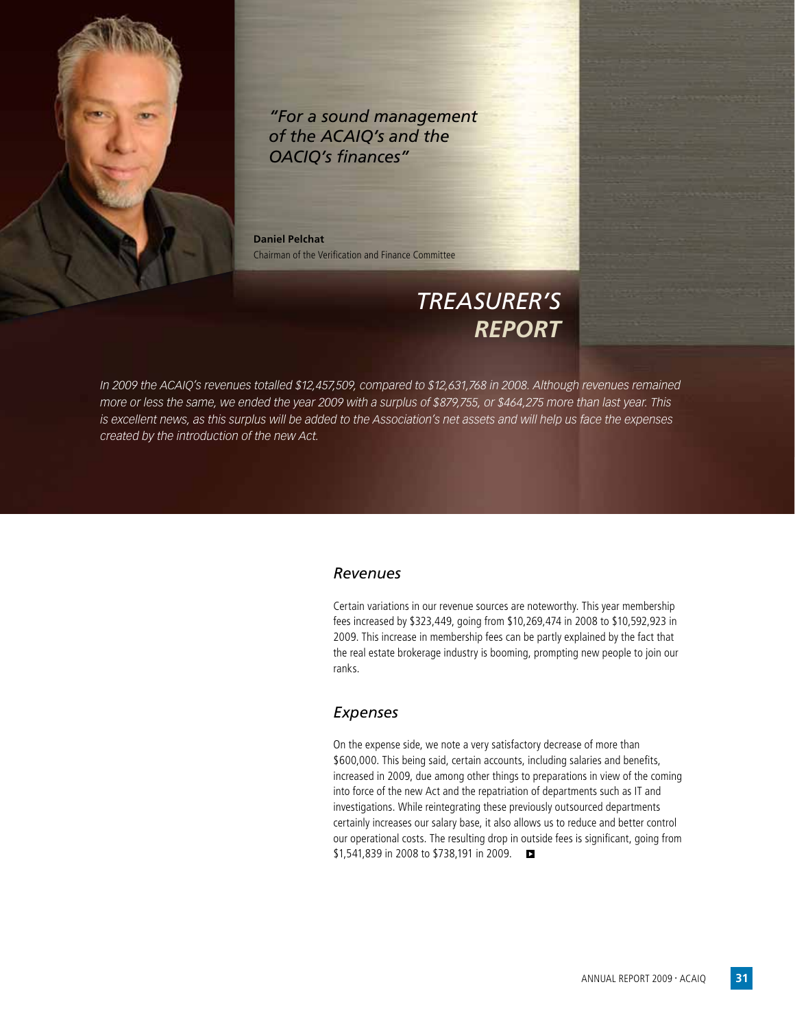

*"For a sound management of the ACAIQ's and the OACIQ's finances"*

**Daniel Pelchat** Chairman of the Verification and Finance Committee

# *Treasurer's REPORT*

*In 2009 the ACAIQ's revenues totalled \$12,457,509, compared to \$12,631,768 in 2008. Although revenues remained more or less the same, we ended the year 2009 with a surplus of \$879,755, or \$464,275 more than last year. This is excellent news, as this surplus will be added to the Association's net assets and will help us face the expenses created by the introduction of the new Act.*

#### *Revenues*

Certain variations in our revenue sources are noteworthy. This year membership fees increased by \$323,449, going from \$10,269,474 in 2008 to \$10,592,923 in 2009. This increase in membership fees can be partly explained by the fact that the real estate brokerage industry is booming, prompting new people to join our ranks.

### *Expenses*

On the expense side, we note a very satisfactory decrease of more than \$600,000. This being said, certain accounts, including salaries and benefits, increased in 2009, due among other things to preparations in view of the coming into force of the new Act and the repatriation of departments such as IT and investigations. While reintegrating these previously outsourced departments certainly increases our salary base, it also allows us to reduce and better control our operational costs. The resulting drop in outside fees is significant, going from \$1,541,839 in 2008 to \$738,191 in 2009.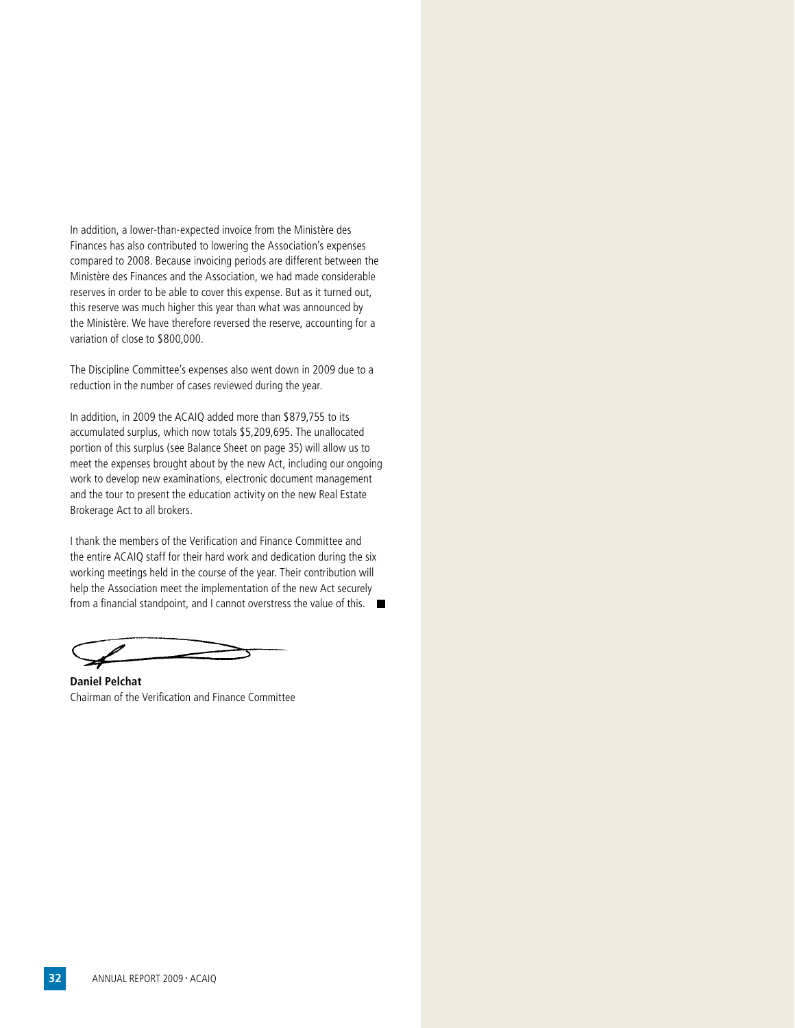In addition, a lower-than-expected invoice from the Ministère des Finances has also contributed to lowering the Association's expenses compared to 2008. Because invoicing periods are different between the Ministère des Finances and the Association, we had made considerable reserves in order to be able to cover this expense. But as it turned out, this reserve was much higher this year than what was announced by the Ministère. We have therefore reversed the reserve, accounting for a variation of close to \$800,000.

The Discipline Committee's expenses also went down in 2009 due to a reduction in the number of cases reviewed during the year.

In addition, in 2009 the ACAIQ added more than \$879,755 to its accumulated surplus, which now totals \$5,209,695. The unallocated portion of this surplus (see Balance Sheet on page 35) will allow us to meet the expenses brought about by the new Act, including our ongoing work to develop new examinations, electronic document management and the tour to present the education activity on the new Real Estate Brokerage Act to all brokers.

I thank the members of the Verification and Finance Committee and the entire ACAIQ staff for their hard work and dedication during the six working meetings held in the course of the year. Their contribution will help the Association meet the implementation of the new Act securely from a financial standpoint, and I cannot overstress the value of this.

**Daniel Pelchat** Chairman of the Verification and Finance Committee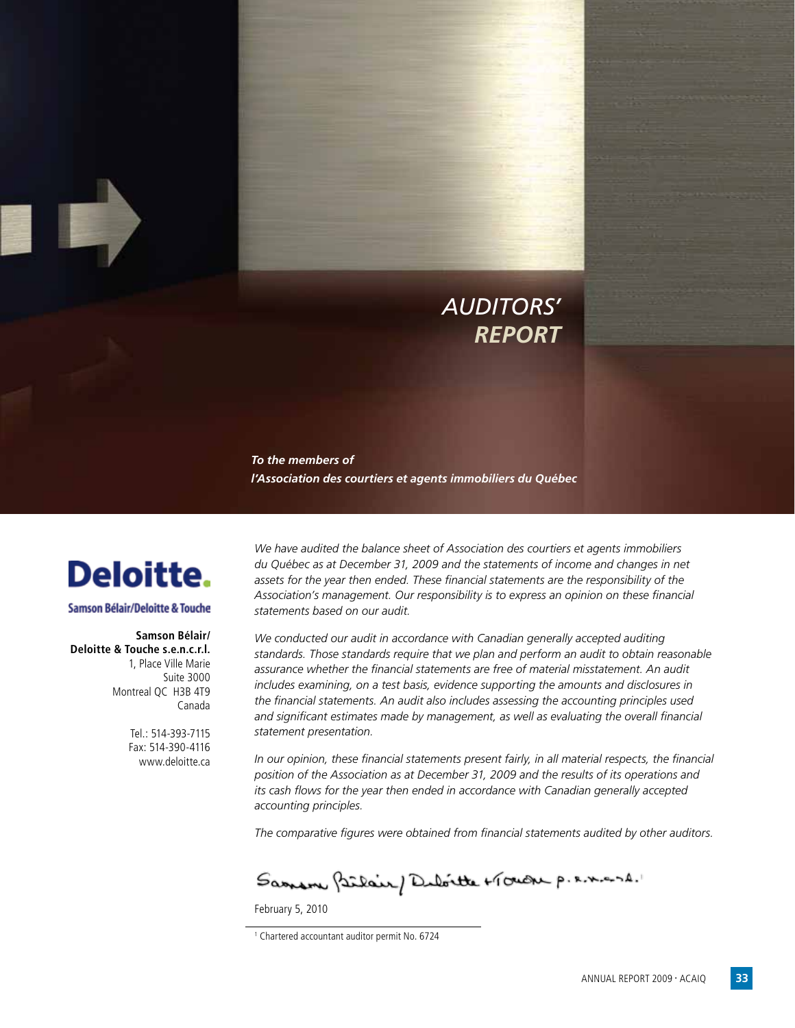# *Auditors' REPORT*

## *To the members of l'Association des courtiers et agents immobiliers du Québec*



#### Samson Bélair/Deloitte & Touche

**Samson Bélair/**

**Deloitte & Touche s.e.n.c.r.l.** 1, Place Ville Marie Suite 3000 Montreal QC H3B 4T9 Canada

> Tel.: 514-393-7115 Fax: 514-390-4116 www.deloitte.ca

*We have audited the balance sheet of Association des courtiers et agents immobiliers du Québec as at December 31, 2009 and the statements of income and changes in net assets for the year then ended. These financial statements are the responsibility of the Association's management. Our responsibility is to express an opinion on these financial statements based on our audit.*

We conducted our audit in accordance with Canadian generally accepted auditing *standards. Those standards require that we plan and perform an audit to obtain reasonable assurance whether the financial statements are free of material misstatement. An audit includes examining, on a test basis, evidence supporting the amounts and disclosures in the financial statements. An audit also includes assessing the accounting principles used*  and significant estimates made by management, as well as evaluating the overall financial *statement presentation.*

In our opinion, these financial statements present fairly, in all material respects, the financial *position of the Association as at December 31, 2009 and the results of its operations and its cash flows for the year then ended in accordance with Canadian generally accepted accounting principles.*

*The comparative figures were obtained from financial statements audited by other auditors.*

Samon Pilair/Deboitte + Town p. R.N.C.A.

February 5, 2010

<sup>1</sup> Chartered accountant auditor permit No. 6724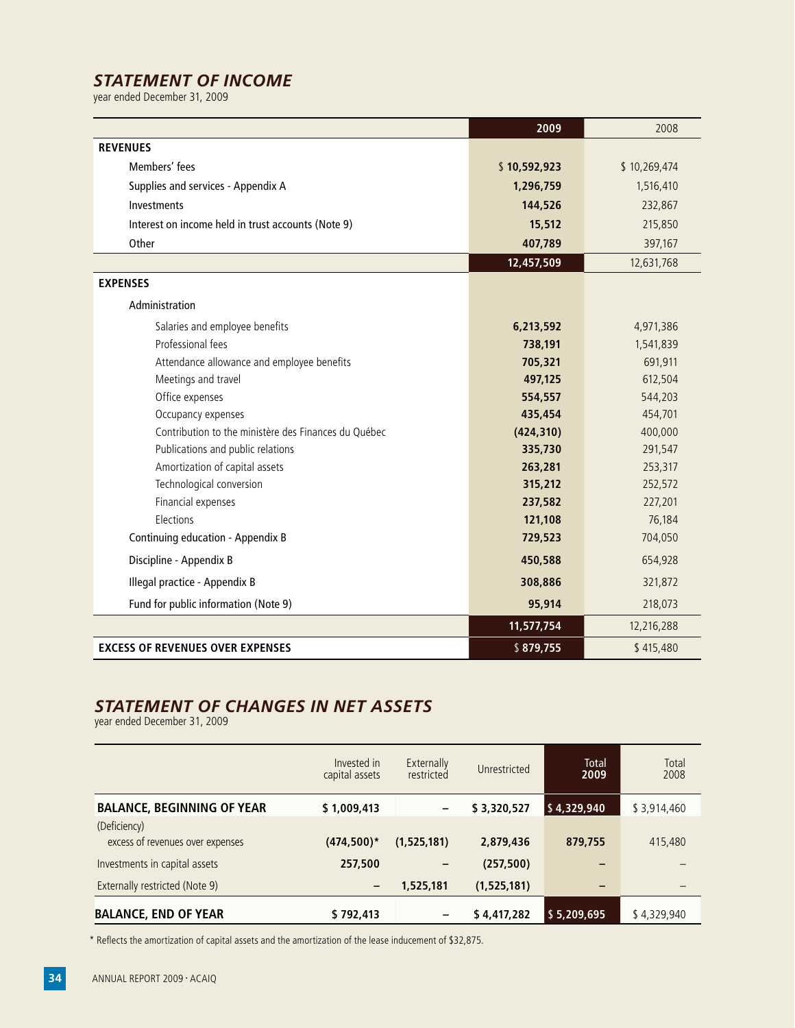## *Statement of income*

year ended December 31, 2009

|                                                      | 2009         | 2008         |
|------------------------------------------------------|--------------|--------------|
| <b>REVENUES</b>                                      |              |              |
| Members' fees                                        | \$10,592,923 | \$10,269,474 |
| Supplies and services - Appendix A                   | 1,296,759    | 1,516,410    |
| Investments                                          | 144,526      | 232,867      |
| Interest on income held in trust accounts (Note 9)   | 15,512       | 215,850      |
| Other                                                | 407,789      | 397,167      |
|                                                      | 12,457,509   | 12,631,768   |
| <b>EXPENSES</b>                                      |              |              |
| Administration                                       |              |              |
| Salaries and employee benefits                       | 6,213,592    | 4,971,386    |
| Professional fees                                    | 738,191      | 1,541,839    |
| Attendance allowance and employee benefits           | 705,321      | 691,911      |
| Meetings and travel                                  | 497,125      | 612,504      |
| Office expenses                                      | 554,557      | 544,203      |
| Occupancy expenses                                   | 435,454      | 454,701      |
| Contribution to the ministère des Finances du Québec | (424, 310)   | 400,000      |
| Publications and public relations                    | 335,730      | 291,547      |
| Amortization of capital assets                       | 263,281      | 253,317      |
| Technological conversion                             | 315,212      | 252,572      |
| Financial expenses                                   | 237,582      | 227,201      |
| Elections                                            | 121,108      | 76,184       |
| Continuing education - Appendix B                    | 729,523      | 704,050      |
| Discipline - Appendix B                              | 450,588      | 654,928      |
| Illegal practice - Appendix B                        | 308,886      | 321,872      |
| Fund for public information (Note 9)                 | 95,914       | 218,073      |
|                                                      | 11,577,754   | 12,216,288   |
| <b>EXCESS OF REVENUES OVER EXPENSES</b>              | \$879,755    | \$415,480    |

## *Statement of changes in net assets*

year ended December 31, 2009

|                                                  | Invested in<br>capital assets | Externally<br>restricted | Unrestricted | <b>Total</b><br>2009       | Total<br>2008 |
|--------------------------------------------------|-------------------------------|--------------------------|--------------|----------------------------|---------------|
| <b>BALANCE, BEGINNING OF YEAR</b>                | \$1,009,413                   |                          | \$3,320,527  | $\frac{1}{2}$ \$4,329,940  | \$3,914,460   |
| (Deficiency)<br>excess of revenues over expenses | $(474,500)*$                  | (1,525,181)              | 2,879,436    | 879,755                    | 415,480       |
| Investments in capital assets                    | 257,500                       |                          | (257, 500)   | $\overline{\phantom{0}}$   |               |
| Externally restricted (Note 9)                   | $\qquad \qquad -$             | 1,525,181                | (1,525,181)  | -                          |               |
| <b>BALANCE, END OF YEAR</b>                      | \$792,413                     |                          | \$4,417,282  | $\frac{1}{2}$ \$ 5,209,695 | \$4,329,940   |

\* Reflects the amortization of capital assets and the amortization of the lease inducement of \$32,875.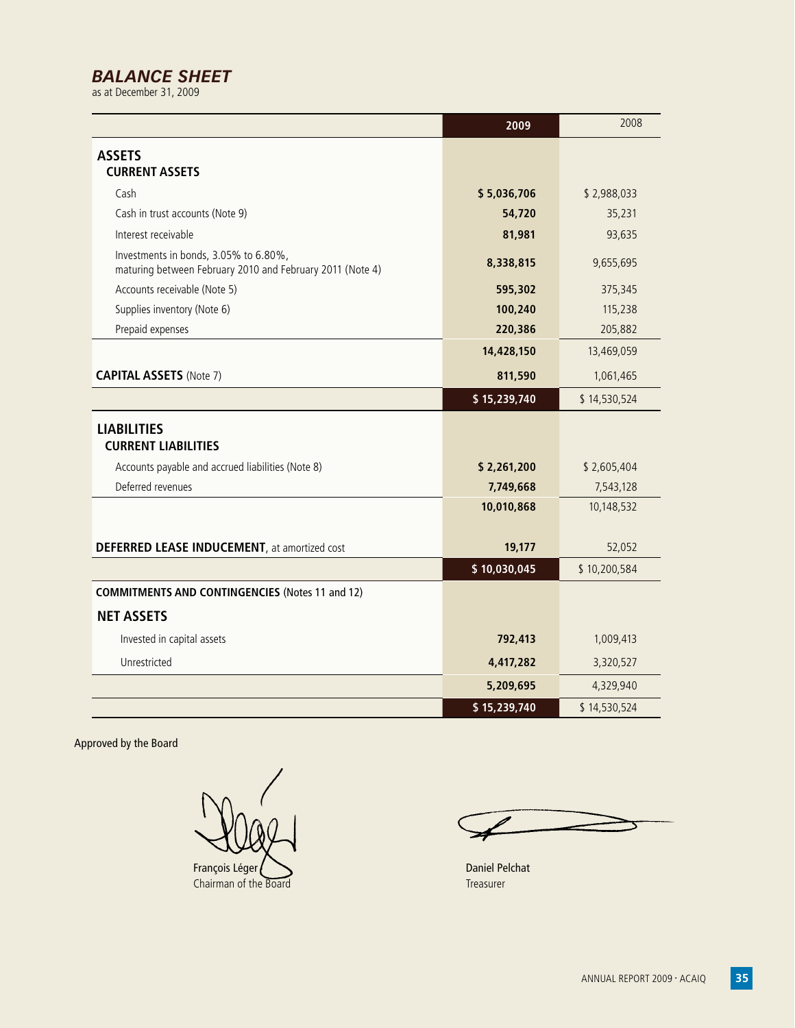## *BALANCE SHEET*

as at December 31, 2009

|                                                                                                    | 2009         | 2008         |
|----------------------------------------------------------------------------------------------------|--------------|--------------|
| <b>ASSETS</b><br><b>CURRENT ASSETS</b>                                                             |              |              |
| Cash                                                                                               | \$5,036,706  | \$2,988,033  |
| Cash in trust accounts (Note 9)                                                                    | 54,720       | 35,231       |
| Interest receivable                                                                                | 81,981       | 93,635       |
| Investments in bonds, 3.05% to 6.80%,<br>maturing between February 2010 and February 2011 (Note 4) | 8,338,815    | 9,655,695    |
| Accounts receivable (Note 5)                                                                       | 595,302      | 375,345      |
| Supplies inventory (Note 6)                                                                        | 100,240      | 115,238      |
| Prepaid expenses                                                                                   | 220,386      | 205,882      |
|                                                                                                    | 14,428,150   | 13,469,059   |
| <b>CAPITAL ASSETS (Note 7)</b>                                                                     | 811,590      | 1,061,465    |
|                                                                                                    | \$15,239,740 | \$14,530,524 |
| <b>LIABILITIES</b><br><b>CURRENT LIABILITIES</b>                                                   |              |              |
| Accounts payable and accrued liabilities (Note 8)                                                  | \$2,261,200  | \$2,605,404  |
| Deferred revenues                                                                                  | 7,749,668    | 7,543,128    |
|                                                                                                    | 10,010,868   | 10,148,532   |
| <b>DEFERRED LEASE INDUCEMENT</b> , at amortized cost                                               | 19,177       | 52,052       |
|                                                                                                    | \$10,030,045 | \$10,200,584 |
| <b>COMMITMENTS AND CONTINGENCIES (Notes 11 and 12)</b>                                             |              |              |
| <b>NET ASSETS</b>                                                                                  |              |              |
| Invested in capital assets                                                                         | 792,413      | 1,009,413    |
| Unrestricted                                                                                       | 4,417,282    | 3,320,527    |
|                                                                                                    | 5,209,695    | 4,329,940    |
|                                                                                                    | \$15,239,740 | \$14,530,524 |

Approved by the Board

François Léger (Daniel Pelchat ) and Daniel Pelchat Chairman of the Board Treasurer Chairman of the Board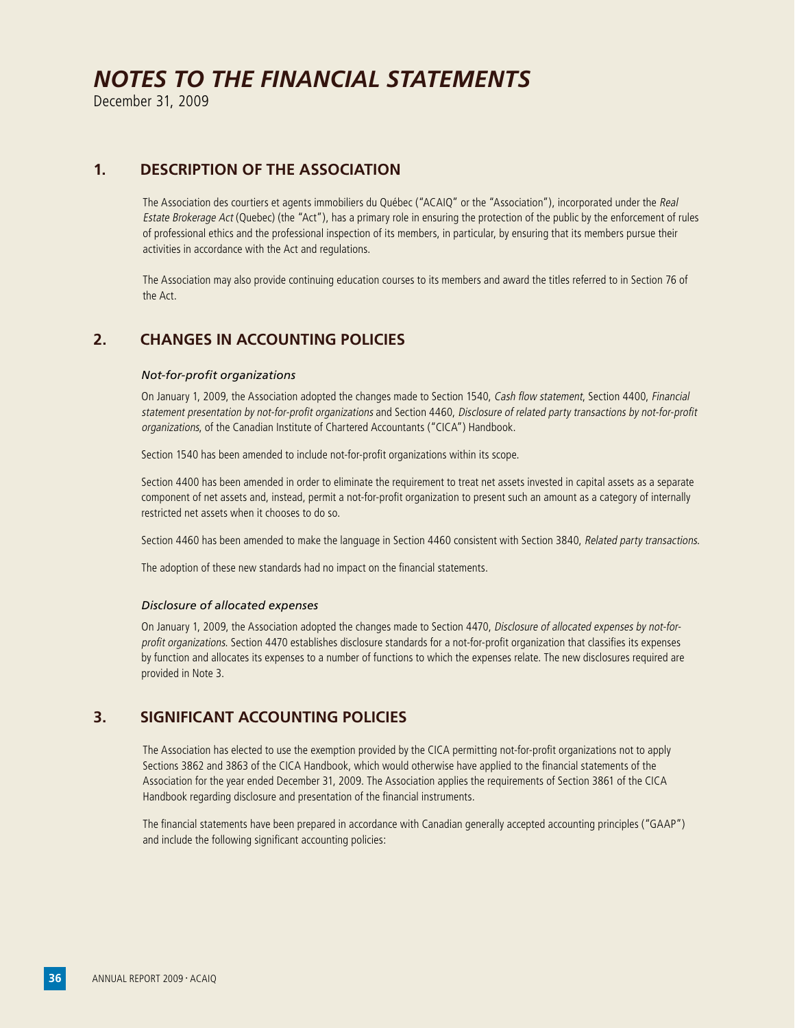# *Notes to the financial statements*

December 31, 2009

## **1. DESCRIPTION of the Association**

The Association des courtiers et agents immobiliers du Québec ("ACAIQ" or the "Association"), incorporated under the Real Estate Brokerage Act (Quebec) (the "Act"), has a primary role in ensuring the protection of the public by the enforcement of rules of professional ethics and the professional inspection of its members, in particular, by ensuring that its members pursue their activities in accordance with the Act and regulations.

The Association may also provide continuing education courses to its members and award the titles referred to in Section 76 of the Act.

## **2. Changes in accounting policies**

#### *Not-for-profit organizations*

On January 1, 2009, the Association adopted the changes made to Section 1540, Cash flow statement, Section 4400, Financial statement presentation by not-for-profit organizations and Section 4460, Disclosure of related party transactions by not-for-profit organizations, of the Canadian Institute of Chartered Accountants ("CICA") Handbook.

Section 1540 has been amended to include not-for-profit organizations within its scope.

Section 4400 has been amended in order to eliminate the requirement to treat net assets invested in capital assets as a separate component of net assets and, instead, permit a not-for-profit organization to present such an amount as a category of internally restricted net assets when it chooses to do so.

Section 4460 has been amended to make the language in Section 4460 consistent with Section 3840, Related party transactions.

The adoption of these new standards had no impact on the financial statements.

#### *Disclosure of allocated expenses*

On January 1, 2009, the Association adopted the changes made to Section 4470, Disclosure of allocated expenses by not-forprofit organizations. Section 4470 establishes disclosure standards for a not-for-profit organization that classifies its expenses by function and allocates its expenses to a number of functions to which the expenses relate. The new disclosures required are provided in Note 3.

## **3. Significant accounting policies**

The Association has elected to use the exemption provided by the CICA permitting not-for-profit organizations not to apply Sections 3862 and 3863 of the CICA Handbook, which would otherwise have applied to the financial statements of the Association for the year ended December 31, 2009. The Association applies the requirements of Section 3861 of the CICA Handbook regarding disclosure and presentation of the financial instruments.

The financial statements have been prepared in accordance with Canadian generally accepted accounting principles ("GAAP") and include the following significant accounting policies: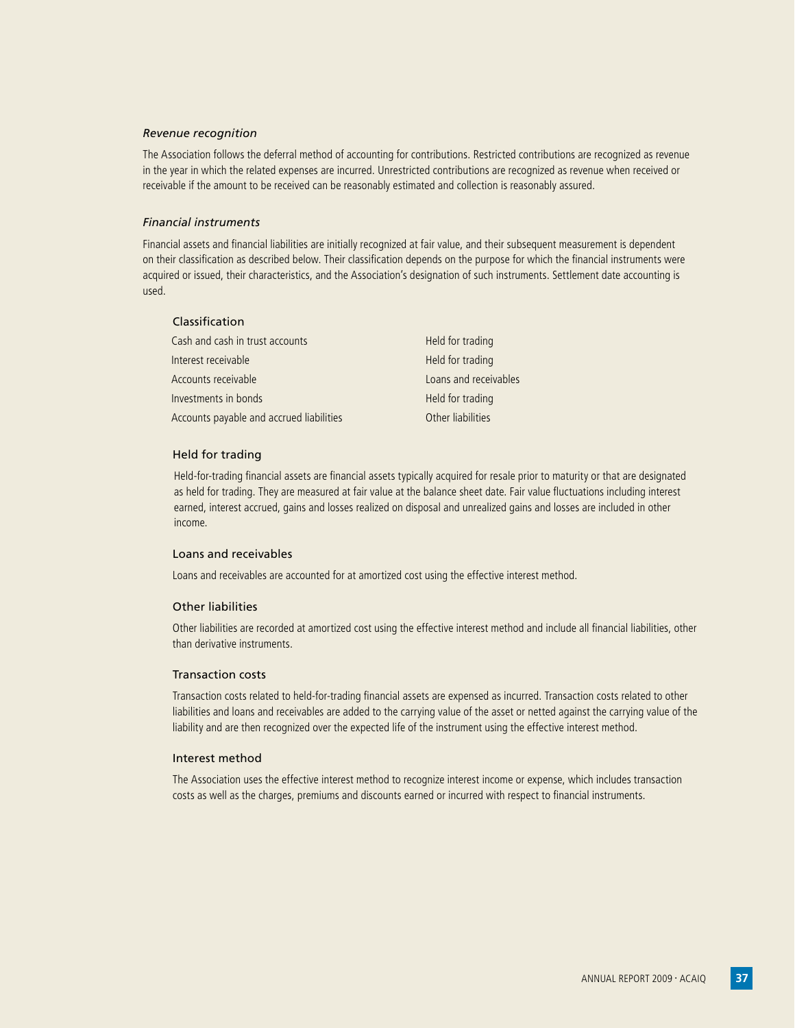#### *Revenue recognition*

The Association follows the deferral method of accounting for contributions. Restricted contributions are recognized as revenue in the year in which the related expenses are incurred. Unrestricted contributions are recognized as revenue when received or receivable if the amount to be received can be reasonably estimated and collection is reasonably assured.

#### *Financial instruments*

Financial assets and financial liabilities are initially recognized at fair value, and their subsequent measurement is dependent on their classification as described below. Their classification depends on the purpose for which the financial instruments were acquired or issued, their characteristics, and the Association's designation of such instruments. Settlement date accounting is used.

| <b>Classification</b>                    |                       |
|------------------------------------------|-----------------------|
| Cash and cash in trust accounts          | Held for trading      |
| Interest receivable                      | Held for trading      |
| Accounts receivable                      | Loans and receivables |
| Investments in bonds                     | Held for trading      |
| Accounts payable and accrued liabilities | Other liabilities     |

#### Held for trading

Held-for-trading financial assets are financial assets typically acquired for resale prior to maturity or that are designated as held for trading. They are measured at fair value at the balance sheet date. Fair value fluctuations including interest earned, interest accrued, gains and losses realized on disposal and unrealized gains and losses are included in other income.

#### Loans and receivables

Loans and receivables are accounted for at amortized cost using the effective interest method.

#### Other liabilities

Other liabilities are recorded at amortized cost using the effective interest method and include all financial liabilities, other than derivative instruments.

#### Transaction costs

Transaction costs related to held-for-trading financial assets are expensed as incurred. Transaction costs related to other liabilities and loans and receivables are added to the carrying value of the asset or netted against the carrying value of the liability and are then recognized over the expected life of the instrument using the effective interest method.

#### Interest method

The Association uses the effective interest method to recognize interest income or expense, which includes transaction costs as well as the charges, premiums and discounts earned or incurred with respect to financial instruments.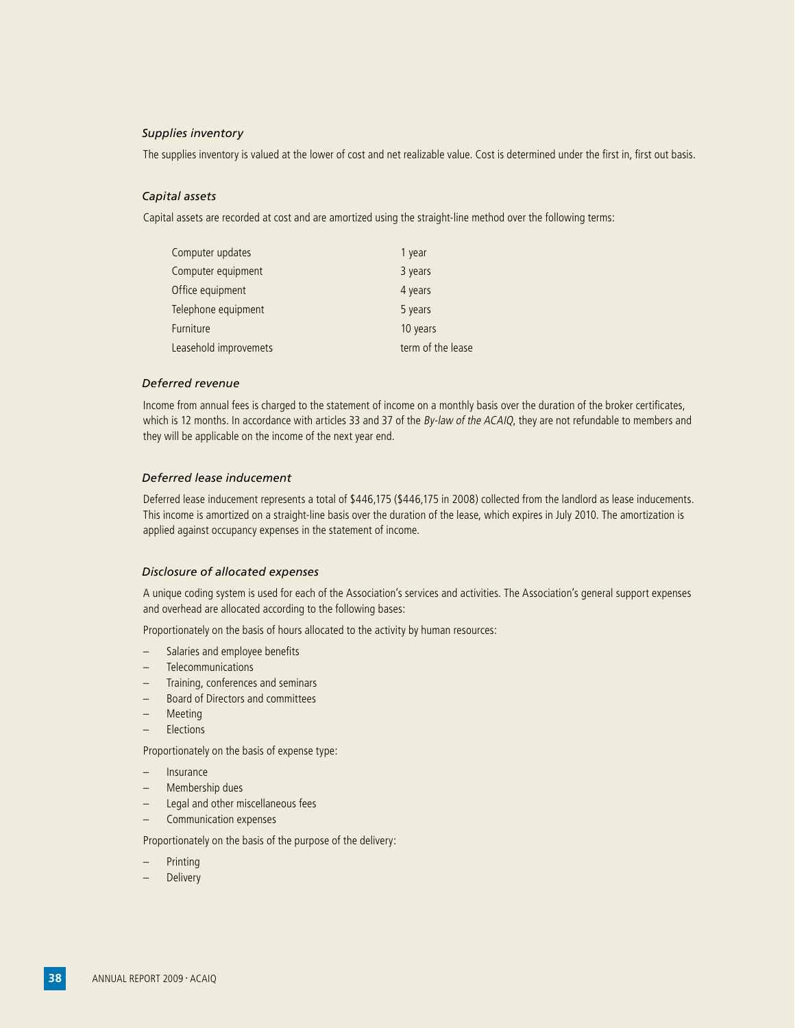#### *Supplies inventory*

The supplies inventory is valued at the lower of cost and net realizable value. Cost is determined under the first in, first out basis.

#### *Capital assets*

Capital assets are recorded at cost and are amortized using the straight-line method over the following terms:

| Computer updates      | 1 year            |
|-----------------------|-------------------|
| Computer equipment    | 3 years           |
| Office equipment      | 4 years           |
| Telephone equipment   | 5 years           |
| Furniture             | 10 years          |
| Leasehold improvemets | term of the lease |

#### *Deferred revenue*

Income from annual fees is charged to the statement of income on a monthly basis over the duration of the broker certificates, which is 12 months. In accordance with articles 33 and 37 of the By-law of the ACAIQ, they are not refundable to members and they will be applicable on the income of the next year end.

#### *Deferred lease inducement*

Deferred lease inducement represents a total of \$446,175 (\$446,175 in 2008) collected from the landlord as lease inducements. This income is amortized on a straight-line basis over the duration of the lease, which expires in July 2010. The amortization is applied against occupancy expenses in the statement of income.

#### *Disclosure of allocated expenses*

A unique coding system is used for each of the Association's services and activities. The Association's general support expenses and overhead are allocated according to the following bases:

Proportionately on the basis of hours allocated to the activity by human resources:

- Salaries and employee benefits
- Telecommunications
- Training, conferences and seminars
- Board of Directors and committees
- Meeting
- **Elections**

Proportionately on the basis of expense type:

- **Insurance**
- Membership dues
- Legal and other miscellaneous fees
- Communication expenses

Proportionately on the basis of the purpose of the delivery:

- **Printing**
- **Delivery**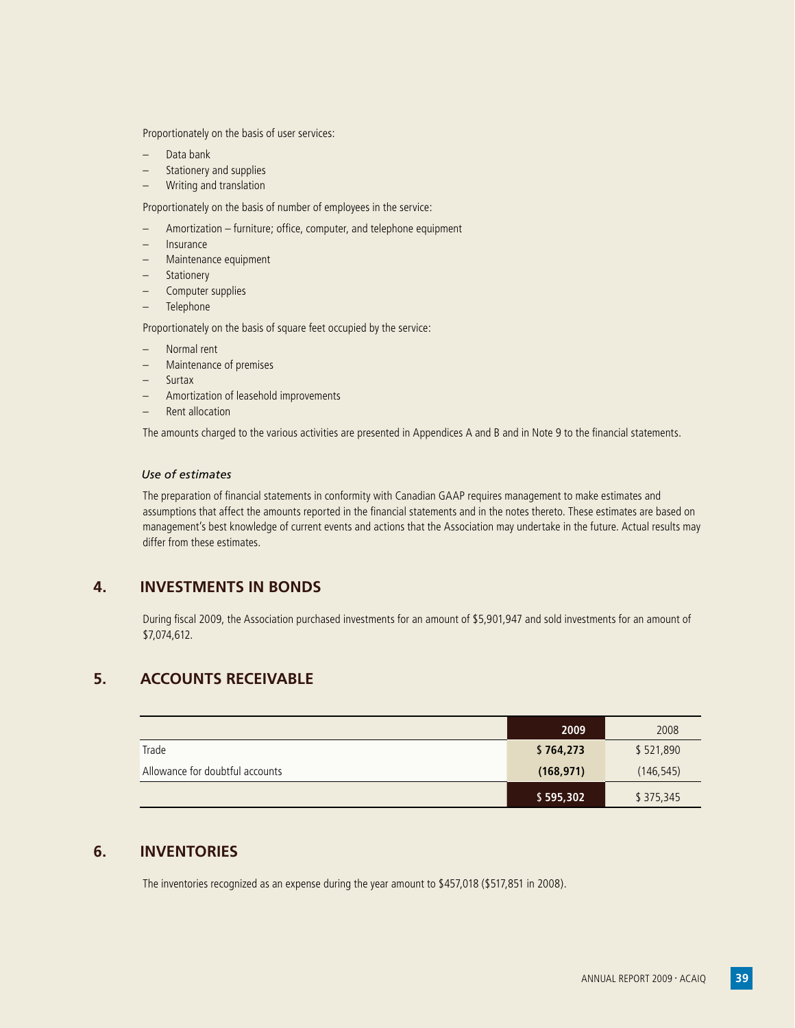Proportionately on the basis of user services:

- Data bank
- Stationery and supplies
- Writing and translation

Proportionately on the basis of number of employees in the service:

- Amortization furniture; office, computer, and telephone equipment
- **Insurance**
- Maintenance equipment
- Stationery
- Computer supplies
- Telephone

Proportionately on the basis of square feet occupied by the service:

- Normal rent
- Maintenance of premises
- Surtax
- Amortization of leasehold improvements
- Rent allocation

The amounts charged to the various activities are presented in Appendices A and B and in Note 9 to the financial statements.

#### *Use of estimates*

The preparation of financial statements in conformity with Canadian GAAP requires management to make estimates and assumptions that affect the amounts reported in the financial statements and in the notes thereto. These estimates are based on management's best knowledge of current events and actions that the Association may undertake in the future. Actual results may differ from these estimates.

### **4. Investments in bonds**

During fiscal 2009, the Association purchased investments for an amount of \$5,901,947 and sold investments for an amount of \$7,074,612.

## **5. Accounts receivable**

|                                 | 2009       | 2008       |
|---------------------------------|------------|------------|
| Trade                           | \$764,273  | \$521,890  |
| Allowance for doubtful accounts | (168, 971) | (146, 545) |
|                                 | \$595,302  | \$375,345  |

## **6. Inventories**

The inventories recognized as an expense during the year amount to \$457,018 (\$517,851 in 2008).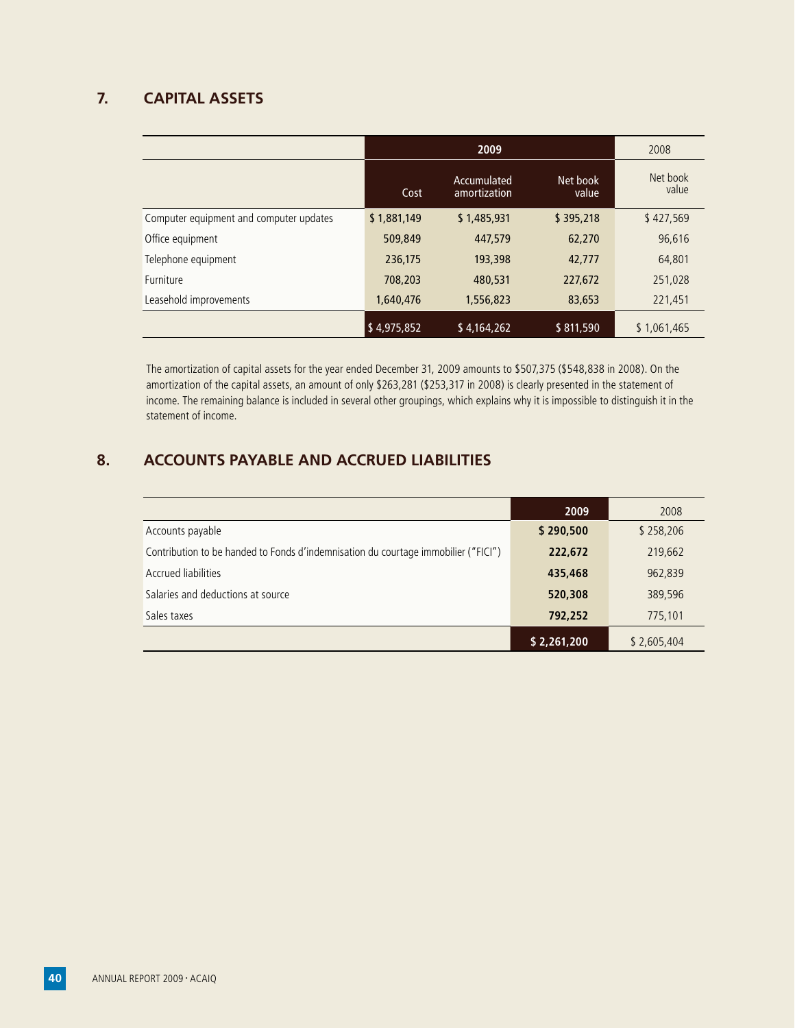## **7. Capital assets**

|                                         | 2009         |                             |                   | 2008              |
|-----------------------------------------|--------------|-----------------------------|-------------------|-------------------|
|                                         | Cost         | Accumulated<br>amortization | Net book<br>value | Net book<br>value |
| Computer equipment and computer updates | \$1,881,149  | \$1,485,931                 | \$395,218         | \$427,569         |
| Office equipment                        | 509,849      | 447,579                     | 62,270            | 96,616            |
| Telephone equipment                     | 236,175      | 193,398                     | 42,777            | 64,801            |
| Furniture                               | 708,203      | 480,531                     | 227,672           | 251,028           |
| Leasehold improvements                  | 1,640,476    | 1,556,823                   | 83,653            | 221,451           |
|                                         | \$ 4,975,852 | \$4,164,262                 | \$811,590         | \$1,061,465       |

The amortization of capital assets for the year ended December 31, 2009 amounts to \$507,375 (\$548,838 in 2008). On the amortization of the capital assets, an amount of only \$263,281 (\$253,317 in 2008) is clearly presented in the statement of income. The remaining balance is included in several other groupings, which explains why it is impossible to distinguish it in the statement of income.

## **8. Accounts payable and accrued liabilities**

|                                                                                    | 2009        | 2008        |
|------------------------------------------------------------------------------------|-------------|-------------|
| Accounts payable                                                                   | \$290,500   | \$258,206   |
| Contribution to be handed to Fonds d'indemnisation du courtage immobilier ("FICI") | 222,672     | 219,662     |
| Accrued liabilities                                                                | 435,468     | 962,839     |
| Salaries and deductions at source                                                  | 520,308     | 389,596     |
| Sales taxes                                                                        | 792,252     | 775,101     |
|                                                                                    | \$2,261,200 | \$2,605,404 |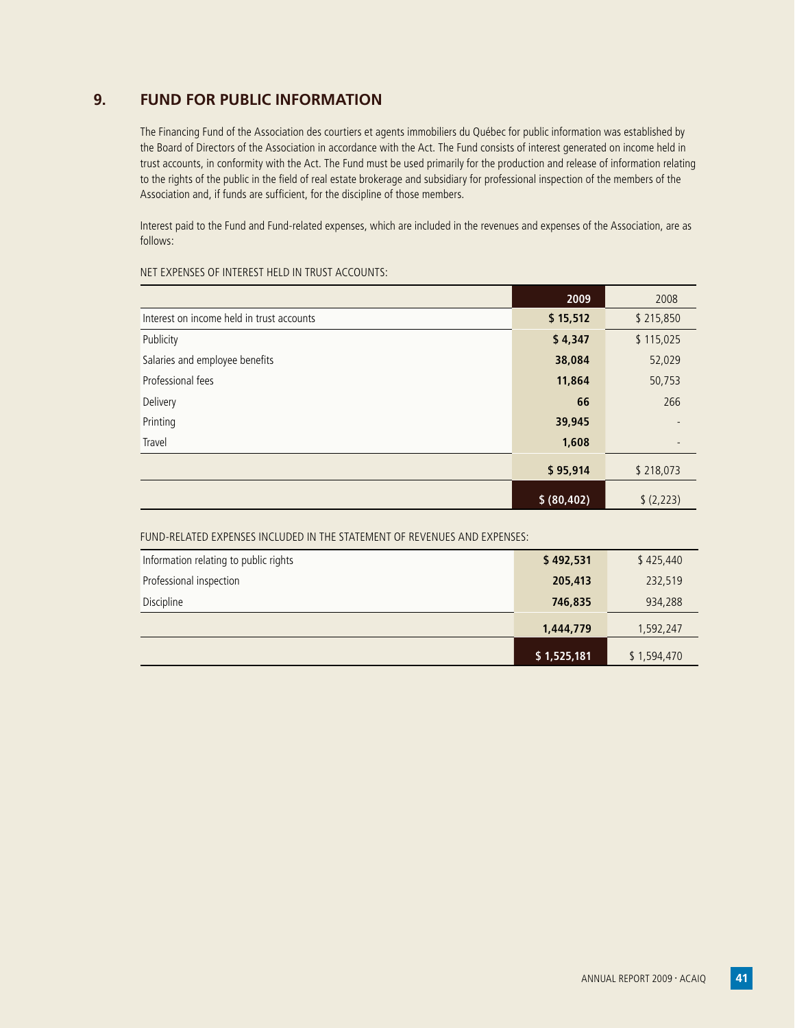## **9. Fund for public information**

The Financing Fund of the Association des courtiers et agents immobiliers du Québec for public information was established by the Board of Directors of the Association in accordance with the Act. The Fund consists of interest generated on income held in trust accounts, in conformity with the Act. The Fund must be used primarily for the production and release of information relating to the rights of the public in the field of real estate brokerage and subsidiary for professional inspection of the members of the Association and, if funds are sufficient, for the discipline of those members.

Interest paid to the Fund and Fund-related expenses, which are included in the revenues and expenses of the Association, are as follows:

|                                           | 2009         | 2008      |
|-------------------------------------------|--------------|-----------|
| Interest on income held in trust accounts | \$15,512     | \$215,850 |
| Publicity                                 | \$4,347      | \$115,025 |
| Salaries and employee benefits            | 38,084       | 52,029    |
| Professional fees                         | 11,864       | 50,753    |
| Delivery                                  | 66           | 266       |
| Printing                                  | 39,945       |           |
| Travel                                    | 1,608        |           |
|                                           | \$95,914     | \$218,073 |
|                                           | \$ (80, 402) | (2,223)   |

#### Net expenses of interest held in trust accounts:

| Information relating to public rights | \$492,531   | \$425,440   |
|---------------------------------------|-------------|-------------|
| Professional inspection               | 205,413     | 232,519     |
| Discipline                            | 746,835     | 934,288     |
|                                       | 1,444,779   | 1,592,247   |
|                                       | \$1,525,181 | \$1,594,470 |

#### Fund-related expenses included in the statement of revenues and expenses: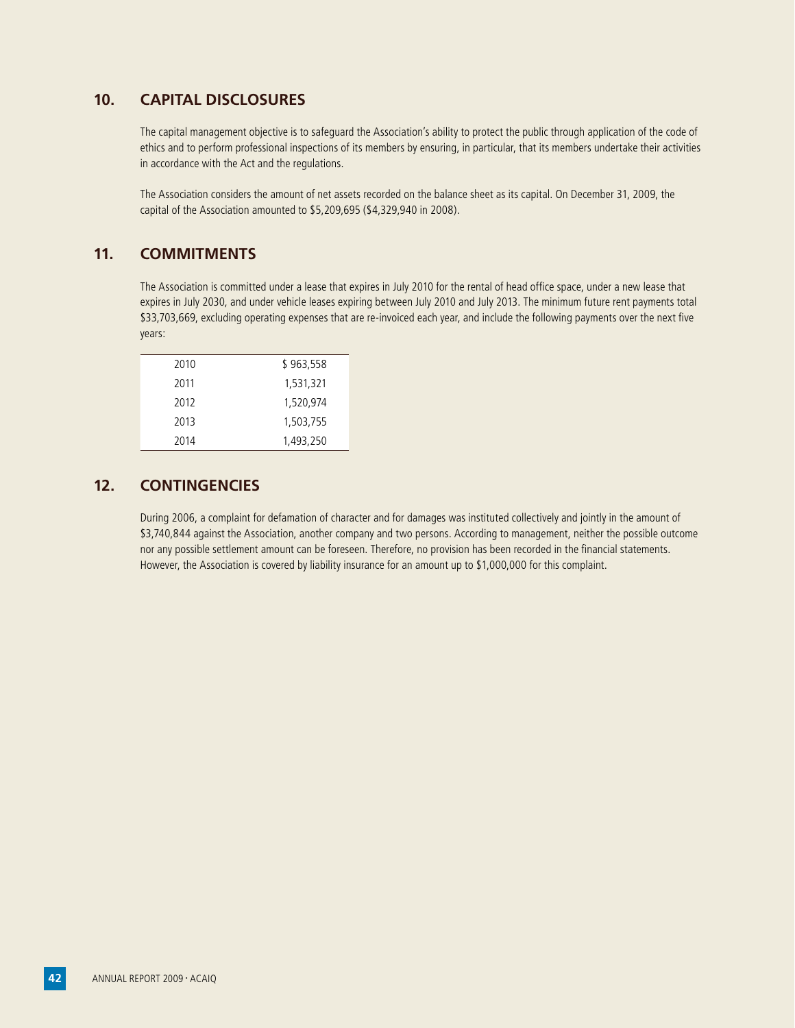## **10. Capital disclosures**

The capital management objective is to safeguard the Association's ability to protect the public through application of the code of ethics and to perform professional inspections of its members by ensuring, in particular, that its members undertake their activities in accordance with the Act and the regulations.

The Association considers the amount of net assets recorded on the balance sheet as its capital. On December 31, 2009, the capital of the Association amounted to \$5,209,695 (\$4,329,940 in 2008).

## **11. Commitments**

The Association is committed under a lease that expires in July 2010 for the rental of head office space, under a new lease that expires in July 2030, and under vehicle leases expiring between July 2010 and July 2013. The minimum future rent payments total \$33,703,669, excluding operating expenses that are re-invoiced each year, and include the following payments over the next five years:

| 2010 | \$963,558 |
|------|-----------|
| 2011 | 1,531,321 |
| 2012 | 1,520,974 |
| 2013 | 1,503,755 |
| 2014 | 1,493,250 |

## **12. Contingencies**

During 2006, a complaint for defamation of character and for damages was instituted collectively and jointly in the amount of \$3,740,844 against the Association, another company and two persons. According to management, neither the possible outcome nor any possible settlement amount can be foreseen. Therefore, no provision has been recorded in the financial statements. However, the Association is covered by liability insurance for an amount up to \$1,000,000 for this complaint.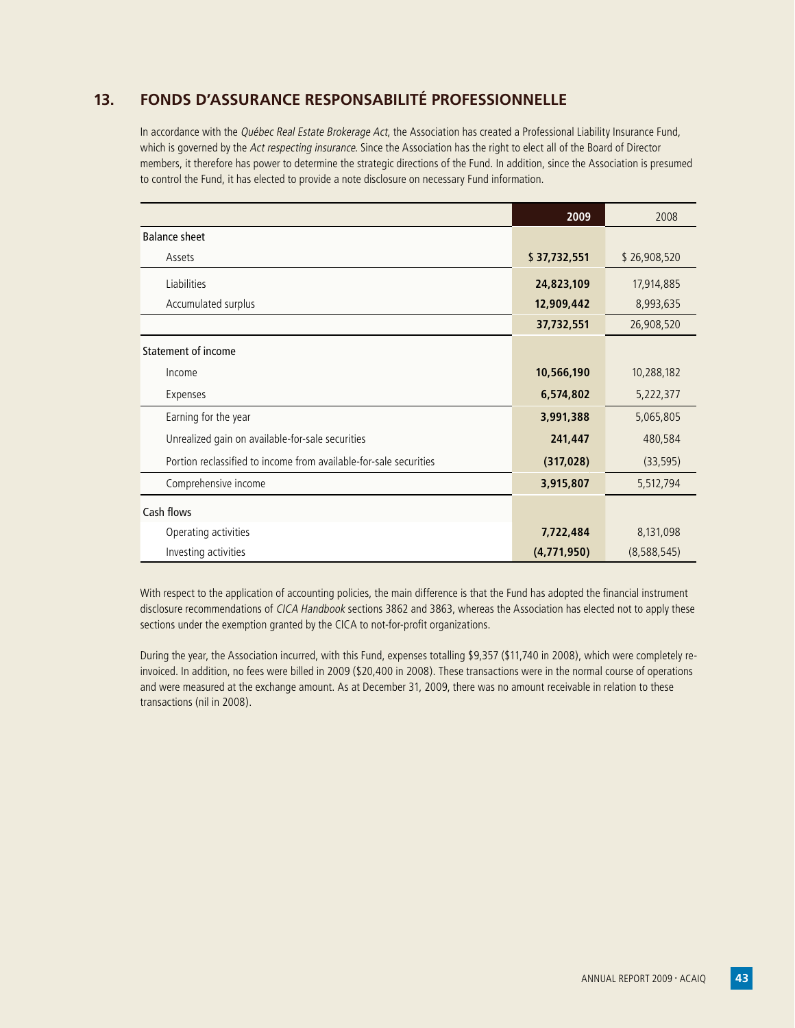## **13. Fonds d'assurance responsabilité professionnelle**

In accordance with the Québec Real Estate Brokerage Act, the Association has created a Professional Liability Insurance Fund, which is governed by the Act respecting insurance. Since the Association has the right to elect all of the Board of Director members, it therefore has power to determine the strategic directions of the Fund. In addition, since the Association is presumed to control the Fund, it has elected to provide a note disclosure on necessary Fund information.

|                                                                   | 2009         | 2008         |
|-------------------------------------------------------------------|--------------|--------------|
| <b>Balance sheet</b>                                              |              |              |
| Assets                                                            | \$37,732,551 | \$26,908,520 |
| Liabilities                                                       | 24,823,109   | 17,914,885   |
| Accumulated surplus                                               | 12,909,442   | 8,993,635    |
|                                                                   | 37,732,551   | 26,908,520   |
| Statement of income                                               |              |              |
| Income                                                            | 10,566,190   | 10,288,182   |
| Expenses                                                          | 6,574,802    | 5,222,377    |
| Earning for the year                                              | 3,991,388    | 5,065,805    |
| Unrealized gain on available-for-sale securities                  | 241,447      | 480,584      |
| Portion reclassified to income from available-for-sale securities | (317, 028)   | (33, 595)    |
| Comprehensive income                                              | 3,915,807    | 5,512,794    |
| Cash flows                                                        |              |              |
| Operating activities                                              | 7,722,484    | 8,131,098    |
| Investing activities                                              | (4,771,950)  | (8,588,545)  |

With respect to the application of accounting policies, the main difference is that the Fund has adopted the financial instrument disclosure recommendations of CICA Handbook sections 3862 and 3863, whereas the Association has elected not to apply these sections under the exemption granted by the CICA to not-for-profit organizations.

During the year, the Association incurred, with this Fund, expenses totalling \$9,357 (\$11,740 in 2008), which were completely reinvoiced. In addition, no fees were billed in 2009 (\$20,400 in 2008). These transactions were in the normal course of operations and were measured at the exchange amount. As at December 31, 2009, there was no amount receivable in relation to these transactions (nil in 2008).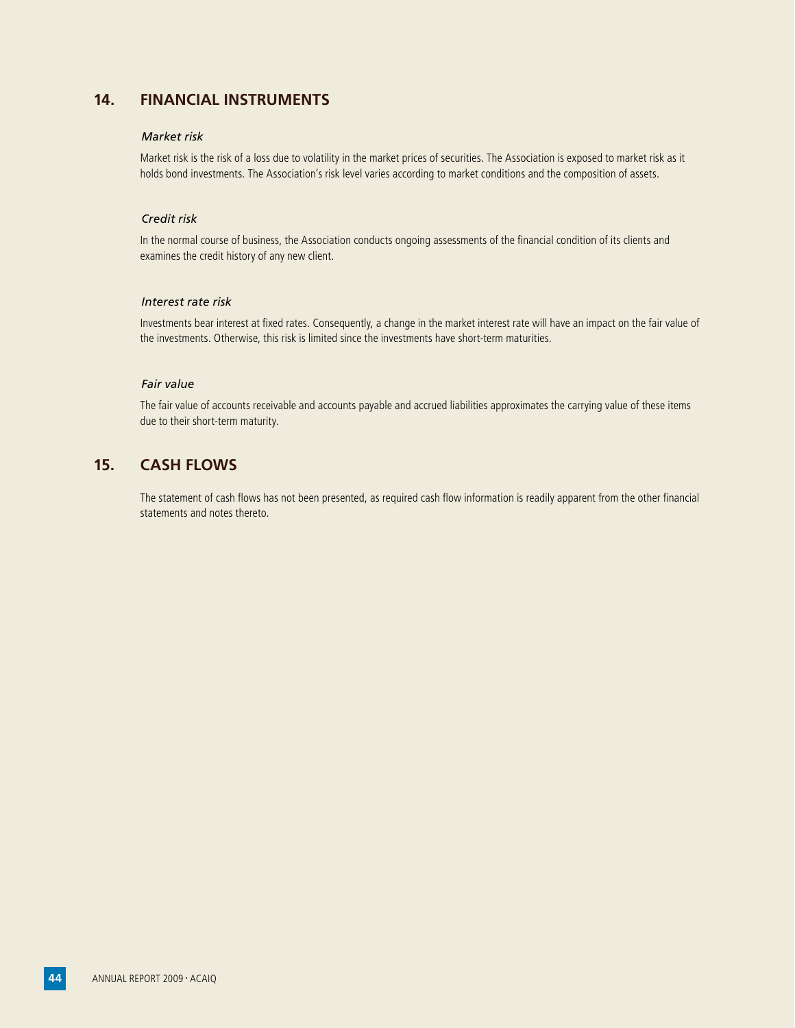## **14. Financial Instruments**

#### *Market risk*

Market risk is the risk of a loss due to volatility in the market prices of securities. The Association is exposed to market risk as it holds bond investments. The Association's risk level varies according to market conditions and the composition of assets.

#### *Credit risk*

In the normal course of business, the Association conducts ongoing assessments of the financial condition of its clients and examines the credit history of any new client.

#### *Interest rate risk*

Investments bear interest at fixed rates. Consequently, a change in the market interest rate will have an impact on the fair value of the investments. Otherwise, this risk is limited since the investments have short-term maturities.

#### *Fair value*

The fair value of accounts receivable and accounts payable and accrued liabilities approximates the carrying value of these items due to their short-term maturity.

## **15. Cash Flows**

The statement of cash flows has not been presented, as required cash flow information is readily apparent from the other financial statements and notes thereto.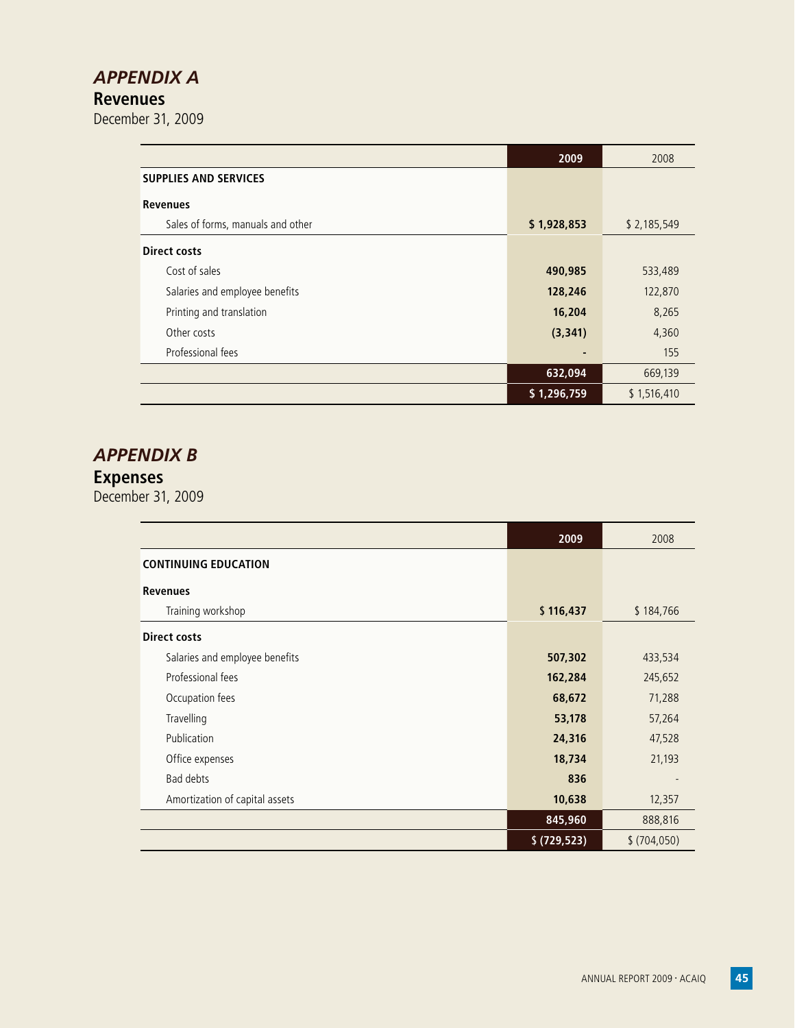## *APPEndix A*

## **Revenues**

December 31, 2009

|                                   | 2009        | 2008        |
|-----------------------------------|-------------|-------------|
| <b>SUPPLIES AND SERVICES</b>      |             |             |
| <b>Revenues</b>                   |             |             |
| Sales of forms, manuals and other | \$1,928,853 | \$2,185,549 |
| <b>Direct costs</b>               |             |             |
| Cost of sales                     | 490,985     | 533,489     |
| Salaries and employee benefits    | 128,246     | 122,870     |
| Printing and translation          | 16,204      | 8,265       |
| Other costs                       | (3, 341)    | 4,360       |
| Professional fees                 | ٠           | 155         |
|                                   | 632,094     | 669,139     |
|                                   | \$1,296,759 | \$1,516,410 |

## *Appendix B*

## **Expenses**

December 31, 2009

|                                | 2009          | 2008         |
|--------------------------------|---------------|--------------|
| <b>CONTINUING EDUCATION</b>    |               |              |
| <b>Revenues</b>                |               |              |
| Training workshop              | \$116,437     | \$184,766    |
| <b>Direct costs</b>            |               |              |
| Salaries and employee benefits | 507,302       | 433,534      |
| Professional fees              | 162,284       | 245,652      |
| Occupation fees                | 68,672        | 71,288       |
| Travelling                     | 53,178        | 57,264       |
| Publication                    | 24,316        | 47,528       |
| Office expenses                | 18,734        | 21,193       |
| Bad debts                      | 836           |              |
| Amortization of capital assets | 10,638        | 12,357       |
|                                | 845,960       | 888,816      |
|                                | \$ (729, 523) | \$ (704,050) |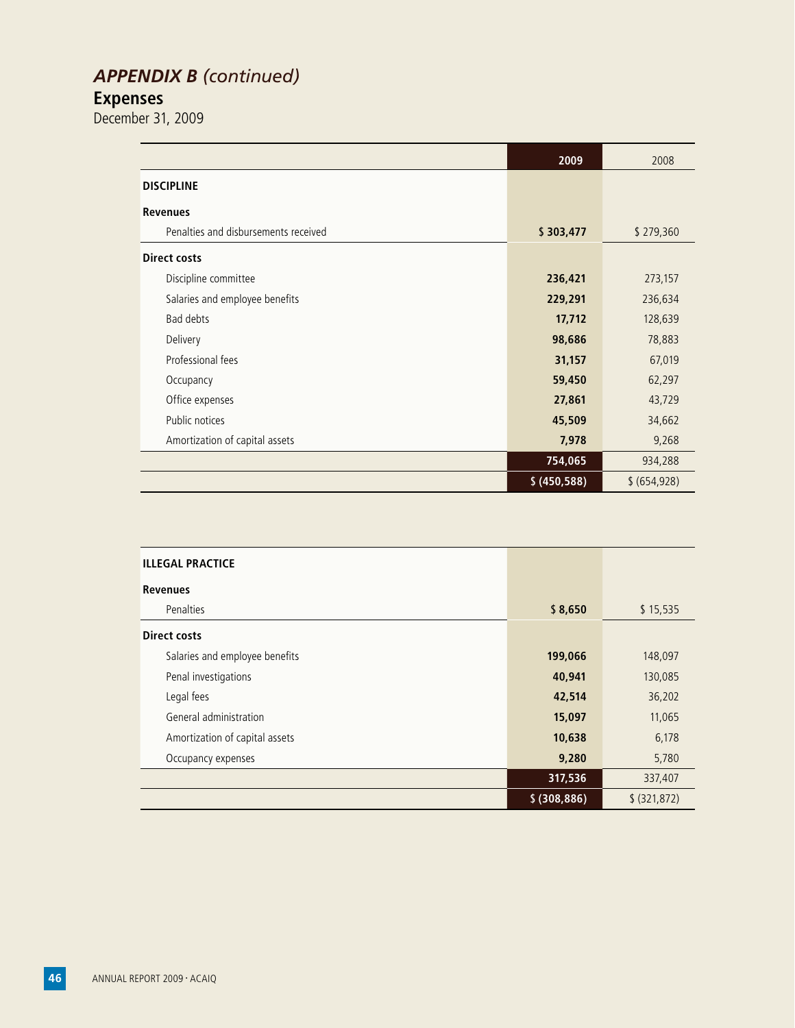# *Appendix B (continued)*

## **Expenses**

December 31, 2009

|                                      | 2009          | 2008          |
|--------------------------------------|---------------|---------------|
| <b>DISCIPLINE</b>                    |               |               |
| <b>Revenues</b>                      |               |               |
| Penalties and disbursements received | \$303,477     | \$279,360     |
| <b>Direct costs</b>                  |               |               |
| Discipline committee                 | 236,421       | 273,157       |
| Salaries and employee benefits       | 229,291       | 236,634       |
| Bad debts                            | 17,712        | 128,639       |
| Delivery                             | 98,686        | 78,883        |
| Professional fees                    | 31,157        | 67,019        |
| Occupancy                            | 59,450        | 62,297        |
| Office expenses                      | 27,861        | 43,729        |
| Public notices                       | 45,509        | 34,662        |
| Amortization of capital assets       | 7,978         | 9,268         |
|                                      | 754,065       | 934,288       |
|                                      | \$ (450, 588) | \$ (654, 928) |

| <b>ILLEGAL PRACTICE</b>        |               |               |
|--------------------------------|---------------|---------------|
| <b>Revenues</b>                |               |               |
| <b>Penalties</b>               | \$8,650       | \$15,535      |
| Direct costs                   |               |               |
| Salaries and employee benefits | 199,066       | 148,097       |
| Penal investigations           | 40,941        | 130,085       |
| Legal fees                     | 42,514        | 36,202        |
| General administration         | 15,097        | 11,065        |
| Amortization of capital assets | 10,638        | 6,178         |
| Occupancy expenses             | 9,280         | 5,780         |
|                                | 317,536       | 337,407       |
|                                | \$ (308, 886) | \$ (321, 872) |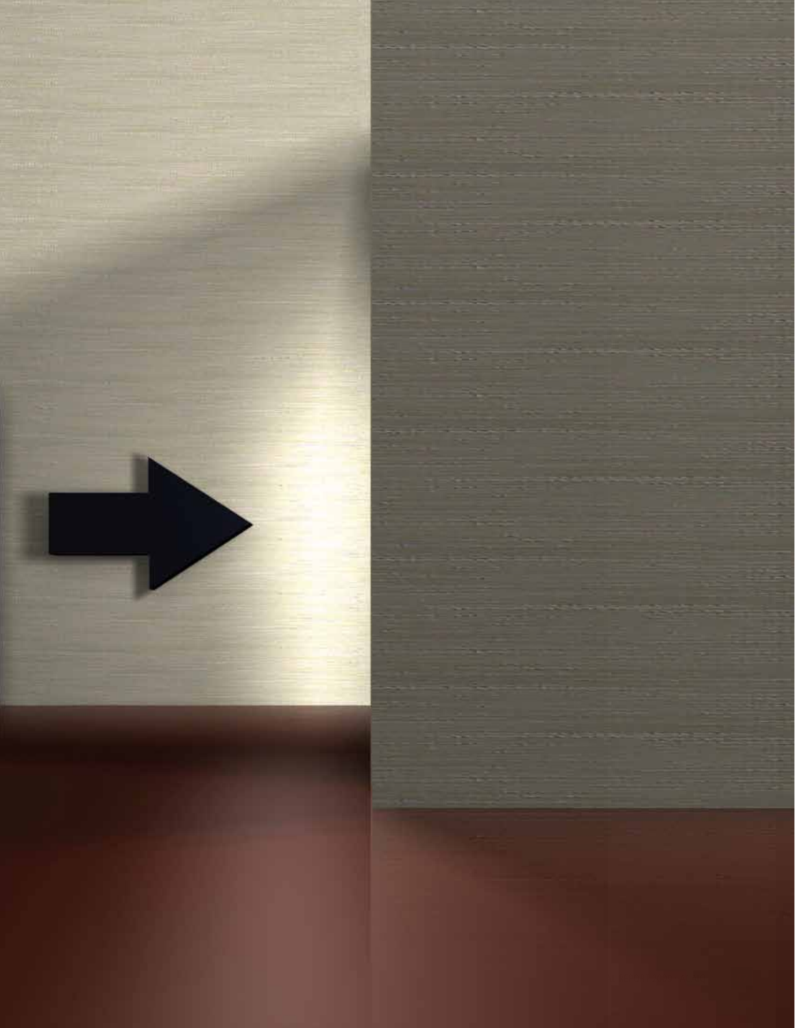